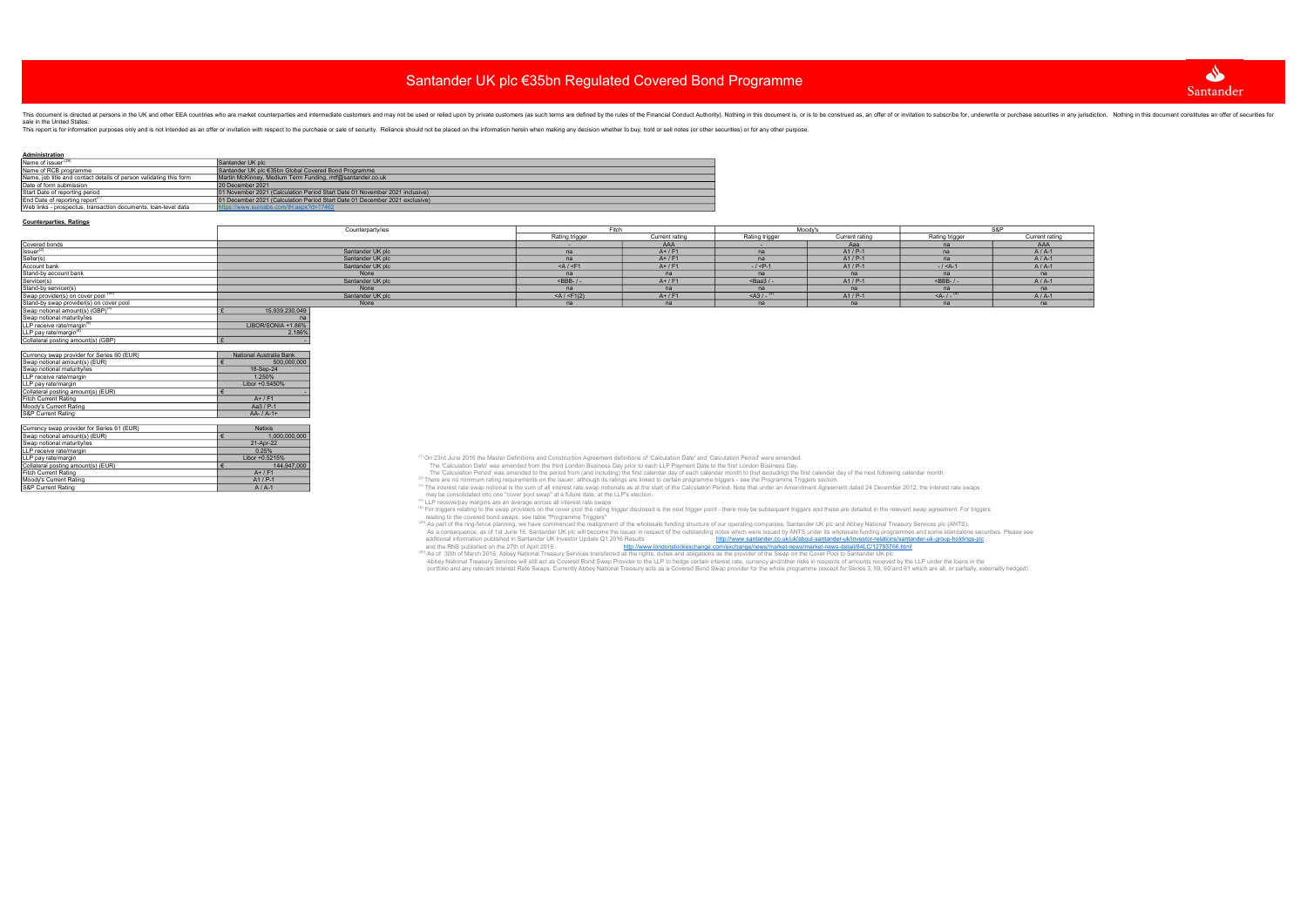#### Administration

| Swap notional amount(s) $\overline{(GBP)^{(3)}}$    | 15,939,230,049          |
|-----------------------------------------------------|-------------------------|
| Swap notional maturity/ies                          | na                      |
| LLP receive rate/margin $(4)$                       | LIBOR/SONIA +1.86%      |
| LLP pay rate/margin $(4)$                           | 2.186%                  |
| Collateral posting amount(s) (GBP)                  |                         |
|                                                     |                         |
| Currency swap provider for Series 60 (EUR)          | National Australia Bank |
| Swap notional amount(s) (EUR)                       | 500,000,000             |
| Original constitution of the substantial affinition | $100 - 01$              |

| oway nuuunan matumwics             | 10-JU-24         |
|------------------------------------|------------------|
| LLP receive rate/margin            | 1.250%           |
| LLP pay rate/margin                | Libor +0.5450%   |
| Collateral posting amount(s) (EUR) |                  |
| <b>Fitch Current Rating</b>        | $A+$ / F1        |
| Moody's Current Rating             | Aa3 / P-1        |
| S&P Current Rating                 | $AA - / A - 1 +$ |
|                                    |                  |

| Currency swap provider for Series 61 (EUR) |                |                                                                                                                                                                                                                      |
|--------------------------------------------|----------------|----------------------------------------------------------------------------------------------------------------------------------------------------------------------------------------------------------------------|
| Swap notional amount(s) (EUR)              | 1,000,000,000  |                                                                                                                                                                                                                      |
| Swap notional maturity/ies                 | 21-Apr-22      |                                                                                                                                                                                                                      |
| LLP receive rate/margin                    | 0.25%          |                                                                                                                                                                                                                      |
| LLP pay rate/margin                        | Libor +0.5215% | <sup>(1)</sup> On 23rd June 2015 the Master Definitions and Construction Agreement definitions of 'Calculation Date' and 'Calculation Period' were amended.                                                          |
| Collateral posting amount(s) (EUR)         | 144.947.000    | The 'Calculation Date' was amended from the third London Business Day prior to each LLP Payment Date to the first London Business Day.                                                                               |
| <b>Fitch Current Rating</b>                | $A+$ / F1      | The 'Calculation Period' was amended to the period from (and including) the first calendar day of each calendar month to (but excluding) the first calendar day of the next following calendar month.                |
| Moody's Current Rating                     | $A1/P-1$       | <sup>(2)</sup> There are no minimum rating requirements on the issuer, although its ratings are linked to certain programme triggers - see the Programme Triggers section.                                           |
| S&P Current Rating                         | $A/A-1$        | (3) The interest rate swap notional is the sum of all interest rate swap notionals as at the start of the Calculation Period. Note that under an Amendment Agreement dated 24 December 2012, the interest rate swaps |

| $\sf{Name}$ of issuer $^{(29)}$ .                                  | Santander UK plc                                                            |
|--------------------------------------------------------------------|-----------------------------------------------------------------------------|
| Name of RCB programme                                              | Santander UK plc €35bn Global Covered Bond Programme                        |
| Name, job title and contact details of person validating this form | Martin McKinney, Medium Term Funding, mtf@santander.co.uk                   |
| Date of form submission                                            | 20 December 2021                                                            |
| Start Date of reporting period                                     | 01 November 2021 (Calculation Period Start Date 01 November 2021 inclusive) |
| End Date of reporting report <sup>(1)</sup>                        | 01 December 2021 (Calculation Period Start Date 01 December 2021 exclusive) |
| Web links - prospectus, transaction documents, loan-level data     | https://www.euroabs.com/IH.aspx?d=17462                                     |

#### tatings

|                                         | Counterparty/ies |                   |                | Moody               |                | <b>S.R.D</b>   |                |
|-----------------------------------------|------------------|-------------------|----------------|---------------------|----------------|----------------|----------------|
|                                         |                  | Rating trigger    | Current rating | Rating trigger      | Current rating | Rating trigger | Current rating |
| Covered bonds                           |                  |                   | AAA            |                     | Aaa            |                | AAA            |
|                                         | Santander UK plc | na                | $A+ / F1$      | -na                 | A1 / P-1       | n <sub>i</sub> | $A/A-1$        |
| Seller(s)                               | Santander UK plc |                   | $A+ / F1$      |                     | $A1/P-1$       |                | $A/A-1$        |
| Account bank                            | Santander UK plc | $<$ A / $<$ F1    | $A+$ / F1      | $- / P-1$           | $A1/P-1$       | $-1 < A-1$     | $A / A-1$      |
| Stand-by account bank                   | None             | na                |                | n <sub>2</sub>      | na             |                | na             |
| Servicer(s)                             | Santander UK plc | $<$ BBB- $/$ -    | $A+$ / F1      | $\epsilon$ Baa3 / - | $A1/P-1$       | $<$ BBB- $/$ - | $A / A-1$      |
| Stand-by servicer(s)                    | None             | na                | nz             |                     | na             |                | na             |
| Swap provider(s) on cover pool (3)      | Santander UK plc | $<$ A / $<$ F1(2) | $A+$ / F1      | $<$ A3 / - $^{(2)}$ | $A1/P-1$       | $<$ A- / - $'$ | $A / A-1$      |
| Stand-by swap provider(s) on cover pool | None             | na                | nz             |                     | na             |                | na             |

This document is directed at persons in the UK and other EEA countries who are market counterparties and one market counterparties and intermediate customers and may not be used or relied upon by private customers (as such sale in the United States.

This report is for information purposes only and is not intended as an offer or invitation with respect to the purchase or sale of security. Reliance should not be placed on the information herein when making any decision

may be consolidated into one "cover pool swap" at a future date, at the LLP's election. (4) LLP receive/pay margins are an average across all interest rate swaps

<sup>(b)</sup> For triggers relating to the swap providers on the cover pool the rating trigger disclosed is the next trigger point - there may be subsequent triggers and these are detailed in the relevant swap agreement. For trigg

and the RNS published on the 27th of April 2016<br><sup>(30)</sup> As of 30th of March 2016, Abbey National Treasury Services transferred all the rights, duties and obligations as the provider of the Swap on the Cover Pool to Santande

portfolio and any relevant Interest Rate Swaps. Currently Abbey National Treasury acts as a Covered Bond Swap provider for the whole programme (except for Series 3, 59, 60 and 61 which are all, or partially, externally hed



| S&P            |
|----------------|
| Current rating |
| AAA            |
| $A/A-1$        |
| $A/A-1$        |
| $A/A-1$        |
| na             |
| $A/A-1$        |
| na             |
| $A/A-1$        |
| na             |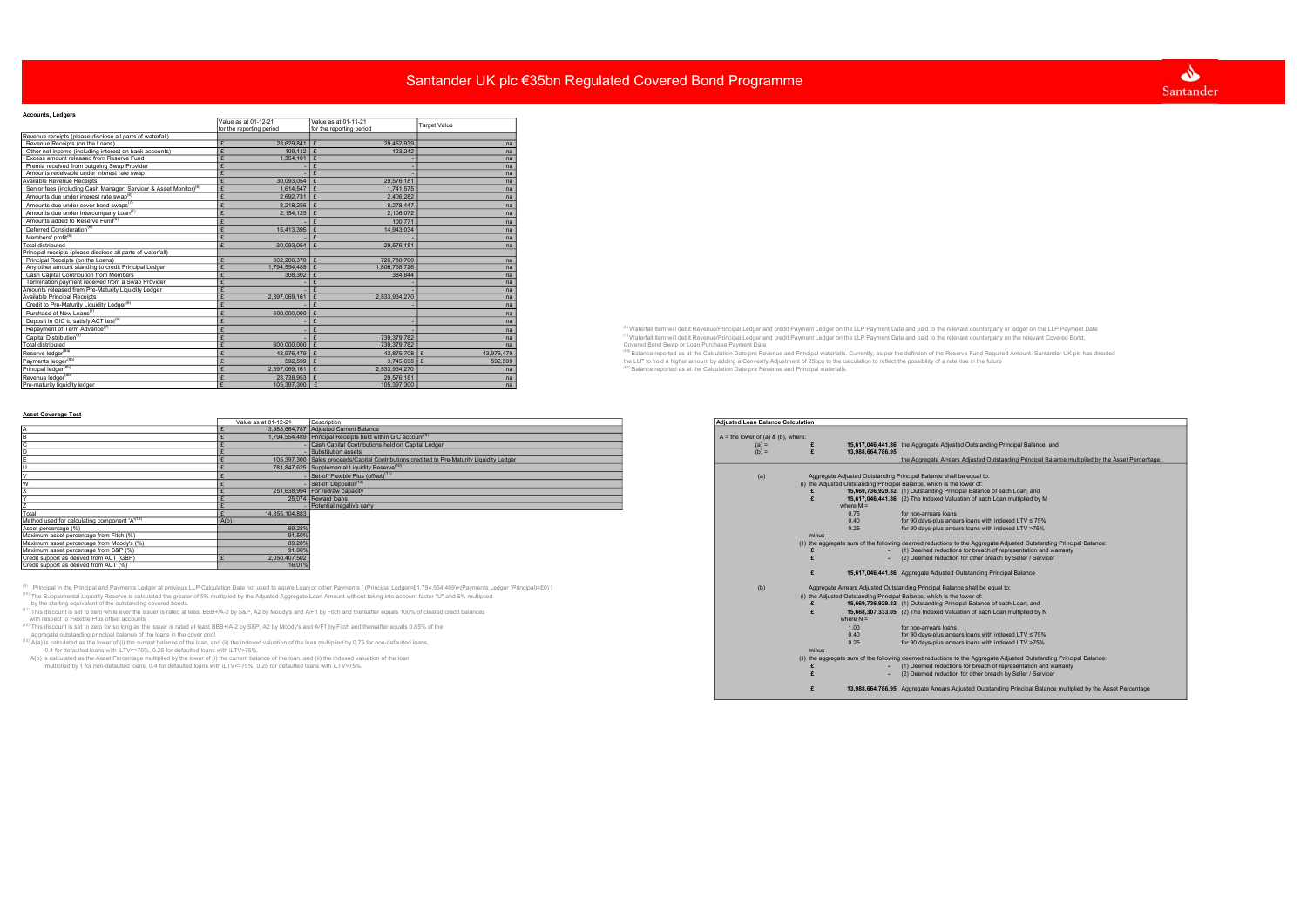### Accounts, Ledgers

|                                                                              | Value as at 01-12-21     | l Value as at 01-11-21   | <b>Target Value</b> |                                                                                                                                                                                             |
|------------------------------------------------------------------------------|--------------------------|--------------------------|---------------------|---------------------------------------------------------------------------------------------------------------------------------------------------------------------------------------------|
|                                                                              | for the reporting period | for the reporting period |                     |                                                                                                                                                                                             |
| Revenue receipts (please disclose all parts of waterfall)                    |                          |                          |                     |                                                                                                                                                                                             |
| Revenue Receipts (on the Loans)                                              | 28,629,841 £             | 29,452,939               |                     |                                                                                                                                                                                             |
| Other net income (including interest on bank accounts)                       | $109, 112$ £             | 123,242                  |                     |                                                                                                                                                                                             |
| Excess amount released from Reserve Fund                                     | $1,354,101$ £            |                          |                     |                                                                                                                                                                                             |
| Premia received from outgoing Swap Provider                                  |                          | $ \mathbf{f}$            |                     |                                                                                                                                                                                             |
| Amounts receivable under interest rate swap                                  |                          | $ \mathbf{f}$            |                     |                                                                                                                                                                                             |
| Available Revenue Receipts                                                   | $30,093,054$ £           | 29.576.181               |                     |                                                                                                                                                                                             |
| Senior fees (including Cash Manager, Servicer & Asset Monitor) <sup>(6</sup> | 1.614.547 $E$            | 1.741.575                |                     |                                                                                                                                                                                             |
| Amounts due under interest rate swap <sup>(6</sup>                           | $2.692.731$ E            | 2.406.282                |                     |                                                                                                                                                                                             |
| Amounts due under cover bond swaps <sup>(7</sup>                             | $8.218.256$   £          | 8,278,447                |                     |                                                                                                                                                                                             |
| Amounts due under Intercompany Loan <sup>(7)</sup>                           | $2,154,125$ £            | 2,106,072                |                     |                                                                                                                                                                                             |
| Amounts added to Reserve Fund <sup>(6)</sup>                                 |                          | 100.771                  |                     |                                                                                                                                                                                             |
| Deferred Consideration <sup>(6)</sup>                                        | 15,413,395               | 14.943.034               |                     |                                                                                                                                                                                             |
| Members' profit <sup>(6)</sup>                                               |                          |                          |                     |                                                                                                                                                                                             |
| Total distributed                                                            | $30,093,054$ £           | 29,576,181               |                     |                                                                                                                                                                                             |
| Principal receipts (please disclose all parts of waterfall)                  |                          |                          |                     |                                                                                                                                                                                             |
| Principal Receipts (on the Loans)                                            | 602.206.370 E            | 726,780,700              |                     |                                                                                                                                                                                             |
| Any other amount standing to credit Principal Ledger                         | 1,794,554,489 E          | 1,806,768,726            |                     |                                                                                                                                                                                             |
| Cash Capital Contribution from Members                                       | $308.302$ £              | 384.844                  |                     |                                                                                                                                                                                             |
| Termination payment received from a Swap Provider                            |                          |                          |                     |                                                                                                                                                                                             |
| Amounts released from Pre-Maturity Liquidity Ledger                          |                          |                          |                     |                                                                                                                                                                                             |
| Available Principal Receipts                                                 | $2,397,069,161$ £        | 2.533.934.270            |                     |                                                                                                                                                                                             |
| Credit to Pre-Maturity Liquidity Ledger <sup>(6)</sup>                       |                          |                          |                     |                                                                                                                                                                                             |
| Purchase of New Loans <sup>(7)</sup>                                         | 600,000,000              |                          |                     |                                                                                                                                                                                             |
| Deposit in GIC to satisfy ACT test <sup>(6)</sup>                            |                          |                          |                     |                                                                                                                                                                                             |
| Repayment of Term Advance <sup>(7)</sup>                                     |                          |                          |                     | <sup>(6)</sup> Waterfall Item will debit Revenue/Principal Ledger and credit Payment Ledger on the LLP Payment Date and paid to the relevant counterparty or ledger on the LLP Payment Date |
| Capital Distribution <sup>(6)</sup>                                          |                          | 739.379.782              |                     | <sup>(7)</sup> Waterfall Item will debit Revenue/Principal Ledger and credit Payment Ledger on the LLP Payment Date and paid to the relevant counterparty on the relevant Covered Bond,     |
| Total distributed                                                            | 600.000.000              | 739.379.782              |                     | Covered Bond Swap or Loan Purchase Payment Date                                                                                                                                             |
| Reserve ledger <sup>(8a)</sup>                                               | 43.976.479 $E$           | 43.875.708 $E$           | 43.976.479          | (8a) Balance reported as at the Calculation Date pre Revenue and Principal waterfalls. Currently, as per the defintion of the Reserve Fund Required Amount, Santander UK plc has directed   |
| Payments ledger <sup>(8b)</sup>                                              | 592.599                  | 3.745.698 $E$            | 592.599             | the LLP to hold a higher amount by adding a Convexity Adjustment of 25bps to the calculation to reflect the possibility of a rate rise in the future                                        |
| Principal ledger <sup>(8b)</sup>                                             | $2.397.069.161$   £      | 2.533.934.270            |                     | (8b) Balance reported as at the Calculation Date pre Revenue and Principal waterfalls.                                                                                                      |
| Revenue ledger <sup>(8b)</sup>                                               | $28.738.953$ E           | 29.576.181               |                     |                                                                                                                                                                                             |
| Pre-maturity liquidity ledger                                                | 105.397.300 £            | 105.397.300              |                     |                                                                                                                                                                                             |

 $\frac{1}{2}$ 

# (6) Waterfall Item will debit Revenue/Principal Ledger and credit Payment Ledger on the LLP Payment Date and paid to the relevant counterparty or ledger on the LLP Payment Date

#### Asset Coverage Test

|                                                                                                                                                                              | Value as at 01-12-21                                                                                                     | Description                                                                                                                                                                                                   | <b>Adiusted Loan Balance Calculation</b> |       |                                                                                             |
|------------------------------------------------------------------------------------------------------------------------------------------------------------------------------|--------------------------------------------------------------------------------------------------------------------------|---------------------------------------------------------------------------------------------------------------------------------------------------------------------------------------------------------------|------------------------------------------|-------|---------------------------------------------------------------------------------------------|
|                                                                                                                                                                              |                                                                                                                          | 13.988.664.787 Adjusted Current Balance                                                                                                                                                                       |                                          |       |                                                                                             |
|                                                                                                                                                                              |                                                                                                                          | 1.794.554.489 Principal Receipts held within GIC account <sup>(9)</sup>                                                                                                                                       | $A =$ the lower of (a) & (b), where:     |       |                                                                                             |
|                                                                                                                                                                              |                                                                                                                          | - Cash Capital Contributions held on Capital Ledger                                                                                                                                                           | $(a) =$                                  |       | 15,617,046,441.86 the Aggregate Adjusted Outstanding Principal Balance,                     |
|                                                                                                                                                                              |                                                                                                                          | - Substitution assets                                                                                                                                                                                         | $(b) =$                                  |       | 13,988,664,786.95                                                                           |
|                                                                                                                                                                              |                                                                                                                          | 105,397,300 Sales proceeds/Capital Contributions credited to Pre-Maturity Liquidity Ledger                                                                                                                    |                                          |       | the Aggregate Arrears Adjusted Outstanding Principal I                                      |
|                                                                                                                                                                              |                                                                                                                          | 781,847,625 Supplemental Liquidity Reserve <sup>(10)</sup>                                                                                                                                                    |                                          |       |                                                                                             |
|                                                                                                                                                                              |                                                                                                                          | - Set-off Flexible Plus (offset) <sup>(11</sup>                                                                                                                                                               | (a)                                      |       | Aggregate Adjusted Outstanding Principal Balance shall be equal to:                         |
|                                                                                                                                                                              |                                                                                                                          | - Set-off Depositor <sup>(12)</sup>                                                                                                                                                                           |                                          |       | (i) the Adiusted Outstanding Principal Balance, which is the lower of:                      |
|                                                                                                                                                                              |                                                                                                                          | 251.638.994 For redraw capacity                                                                                                                                                                               |                                          |       | 15,669,736,929.32 (1) Outstanding Principal Balance of each Loan; and                       |
|                                                                                                                                                                              |                                                                                                                          | 25,074 Reward loans                                                                                                                                                                                           |                                          |       | 15,617,046,441.86 (2) The Indexed Valuation of each Loan multiplied by M                    |
|                                                                                                                                                                              |                                                                                                                          | - Potential negative carry                                                                                                                                                                                    |                                          |       | where $M =$                                                                                 |
| Total                                                                                                                                                                        | 14.855.104.883                                                                                                           |                                                                                                                                                                                                               |                                          |       | 0.75<br>for non-arrears loans                                                               |
| Method used for calculating component 'A <sup>'(13)</sup>                                                                                                                    | A(b)                                                                                                                     |                                                                                                                                                                                                               |                                          |       | 0.40<br>for 90 days-plus arrears loans with indexed LTV ≤ 75%                               |
| Asset percentage (%)                                                                                                                                                         | 89.28%                                                                                                                   |                                                                                                                                                                                                               |                                          |       | 0.25<br>for 90 days-plus arrears loans with indexed LTV >75%                                |
| Maximum asset percentage from Fitch (%)                                                                                                                                      | 91.50%                                                                                                                   |                                                                                                                                                                                                               |                                          | minus |                                                                                             |
| Maximum asset percentage from Moody's (%)                                                                                                                                    | 89.28%                                                                                                                   |                                                                                                                                                                                                               |                                          |       | (ii) the aggregate sum of the following deemed reductions to the Aggregate Adjusted Outstan |
| Maximum asset percentage from S&P (%)                                                                                                                                        | 91.00%                                                                                                                   |                                                                                                                                                                                                               |                                          |       | - (1) Deemed reductions for breach of representation and                                    |
| Credit support as derived from ACT (GBP)                                                                                                                                     | 2,050,407,502                                                                                                            |                                                                                                                                                                                                               |                                          |       | - (2) Deemed reduction for other breach by Seller / Servi                                   |
| Credit support as derived from ACT (%)                                                                                                                                       | 16.01%                                                                                                                   |                                                                                                                                                                                                               |                                          |       |                                                                                             |
|                                                                                                                                                                              |                                                                                                                          |                                                                                                                                                                                                               |                                          |       | 15,617,046,441.86 Aggregate Adjusted Outstanding Principal Balance                          |
|                                                                                                                                                                              |                                                                                                                          | <sup>(9)</sup> Principal in the Principal and Payments Ledger at previous LLP Calculation Date not used to aquire Loan or other Payments [(Principal Ledger=£1,794,554,489)+(Payments Ledger (Principal)=£0)] | (b)                                      |       | Aggregate Arrears Adjusted Outstanding Principal Balance shall be equal to:                 |
|                                                                                                                                                                              |                                                                                                                          | <sup>(10)</sup> The Supplemental Liquidity Reserve is calculated the greater of 5% multiplied by the Adjusted Aggregate Loan Amount without taking into account factor "U" and 5% multiplied                  |                                          |       | (i) the Adjusted Outstanding Principal Balance, which is the lower of:                      |
| by the sterling equivalent of the outstanding covered bonds.                                                                                                                 |                                                                                                                          |                                                                                                                                                                                                               |                                          |       | 15,669,736,929.32 (1) Outstanding Principal Balance of each Loan; and                       |
|                                                                                                                                                                              |                                                                                                                          | <sup>(11)</sup> This discount is set to zero while ever the issuer is rated at least BBB+/A-2 by S&P, A2 by Moody's and A/F1 by Fitch and thereafter equals 100% of cleared credit balances                   |                                          |       | 15,668,307,333.05 (2) The Indexed Valuation of each Loan multiplied by N                    |
| with respect to Flexible Plus offset accounts                                                                                                                                |                                                                                                                          |                                                                                                                                                                                                               |                                          |       | where $N =$                                                                                 |
| <sup>(12)</sup> This discount is set to zero for so long as the issuer is rated at least BBB+/A-2 by S&P, A2 by Moody's and A/F1 by Fitch and thereafter equals 0.85% of the |                                                                                                                          |                                                                                                                                                                                                               |                                          |       | 1.00<br>for non-arrears loans                                                               |
| aggregate outstanding principal balance of the loans in the cover pool                                                                                                       |                                                                                                                          |                                                                                                                                                                                                               |                                          |       | for 90 days-plus arrears loans with indexed LTV ≤ 75%<br>0.40                               |
| $^{(13)}$ A(a) is calculated as the lower of (i) the current balance of the loan, and (ii) the indexed valuation of the loan multiplied by 0.75 for non-defaulted loans,     |                                                                                                                          |                                                                                                                                                                                                               |                                          |       | 0.25<br>for 90 days-plus arrears loans with indexed LTV >75%                                |
| 0.4 for defaulted loans with iLTV<=75%, 0.25 for defaulted loans with iLTV>75%.                                                                                              |                                                                                                                          |                                                                                                                                                                                                               |                                          | minus |                                                                                             |
| A(b) is calculated as the Asset Percentage multiplied by the lower of (i) the current balance of the loan, and (ii) the indexed valuation of the loan                        |                                                                                                                          |                                                                                                                                                                                                               |                                          |       | (ii) the aggregate sum of the following deemed reductions to the Aggregate Adjusted Outstan |
|                                                                                                                                                                              | multiplied by 1 for non-defaulted loans, 0.4 for defaulted loans with iLTV<=75%, 0.25 for defaulted loans with iLTV>75%. |                                                                                                                                                                                                               |                                          |       | - (1) Deemed reductions for breach of representation and                                    |
|                                                                                                                                                                              |                                                                                                                          |                                                                                                                                                                                                               |                                          |       | - (2) Deemed reduction for other breach by Seller / Servi                                   |
|                                                                                                                                                                              |                                                                                                                          |                                                                                                                                                                                                               |                                          |       |                                                                                             |
|                                                                                                                                                                              |                                                                                                                          |                                                                                                                                                                                                               |                                          |       | 13,988,664,786.95 Aggregate Arrears Adjusted Outstanding Principal Bala                     |
|                                                                                                                                                                              |                                                                                                                          |                                                                                                                                                                                                               |                                          |       |                                                                                             |



regate Adjusted Outstanding Principal Balance:<br>ach of representation and warranty<br>'breach by Seller / Servicer Principal Balance oreach by Seller / Servicer standing Principal Balance multiplied by the Asset Percentage Outstanding Principal Balance multiplied by the Asset Percentage.

|                                                           | Value as at 01-12-21<br>Description                                                        | Adjusted Loan Balance Calculation                                                                     |
|-----------------------------------------------------------|--------------------------------------------------------------------------------------------|-------------------------------------------------------------------------------------------------------|
|                                                           | 13,988,664,787 Adjusted Current Balance                                                    |                                                                                                       |
|                                                           | 1,794,554,489 Principal Receipts held within GIC account <sup>(9)</sup>                    | $A =$ the lower of (a) & (b), where:                                                                  |
|                                                           | Cash Capital Contributions held on Capital Ledger                                          | 15,617,046,441.86 the Aggregate Adjusted Outstanding Principal Balance, and<br>$(a) =$                |
|                                                           | <b>Substitution assets</b>                                                                 | $(b) =$<br>13.988.664.786.95                                                                          |
|                                                           | 105,397,300 Sales proceeds/Capital Contributions credited to Pre-Maturity Liquidity Ledger | the Aggregate Arrears Adjusted Outstanding Principal Balance m                                        |
|                                                           | 781,847,625 Supplemental Liquidity Reserve <sup>(10)</sup>                                 |                                                                                                       |
|                                                           | Set-off Flexible Plus (offset) <sup>(11)</sup>                                             | (a)<br>Aggregate Adjusted Outstanding Principal Balance shall be equal to:                            |
|                                                           | - Set-off Depositor $(12)$                                                                 | (i) the Adiusted Outstanding Principal Balance, which is the lower of:                                |
|                                                           | 251,638,994   For redraw capacity                                                          | 15,669,736,929.32 (1) Outstanding Principal Balance of each Loan; and                                 |
|                                                           | 25.074 Reward loans                                                                        | 15,617,046,441.86 (2) The Indexed Valuation of each Loan multiplied by M                              |
|                                                           | I Potential negative carry                                                                 | where $M =$                                                                                           |
| Total                                                     | 14,855,104,883                                                                             | 0.75<br>for non-arrears loans                                                                         |
| Method used for calculating component 'A' <sup>(13)</sup> |                                                                                            | 0.40<br>for 90 days-plus arrears loans with indexed LTV $\leq$ 75%                                    |
| Asset percentage (%)                                      | 89.28%                                                                                     | 0.25<br>for 90 days-plus arrears loans with indexed LTV >75%                                          |
| Maximum asset percentage from Fitch (%)                   | 91.50%                                                                                     | minus                                                                                                 |
| Maximum asset percentage from Moody's (%)                 | 89.28%                                                                                     | (ii) the aggregate sum of the following deemed reductions to the Aggregate Adjusted Outstanding Princ |
| Maximum asset percentage from S&P (%)                     | 91.00%                                                                                     | - (1) Deemed reductions for breach of representation and warranty                                     |
| Credit support as derived from ACT (GBP)                  | 2,050,407,502                                                                              | - (2) Deemed reduction for other breach by Seller / Servicer                                          |
| Credit support as derived from ACT (%)                    | 16.01%                                                                                     |                                                                                                       |
|                                                           |                                                                                            | 15.617.046.441.86 Aggregate Adjusted Outstanding Principal Balance                                    |

A(b) is calculated as the Asset Percentage multiplied by the lower of (i) the current balance: (ii) the current balance: (ii) the indexed valuation of the loan<br>multiplied by 1 for non-defaulted loans, 0.4 for defaulted loa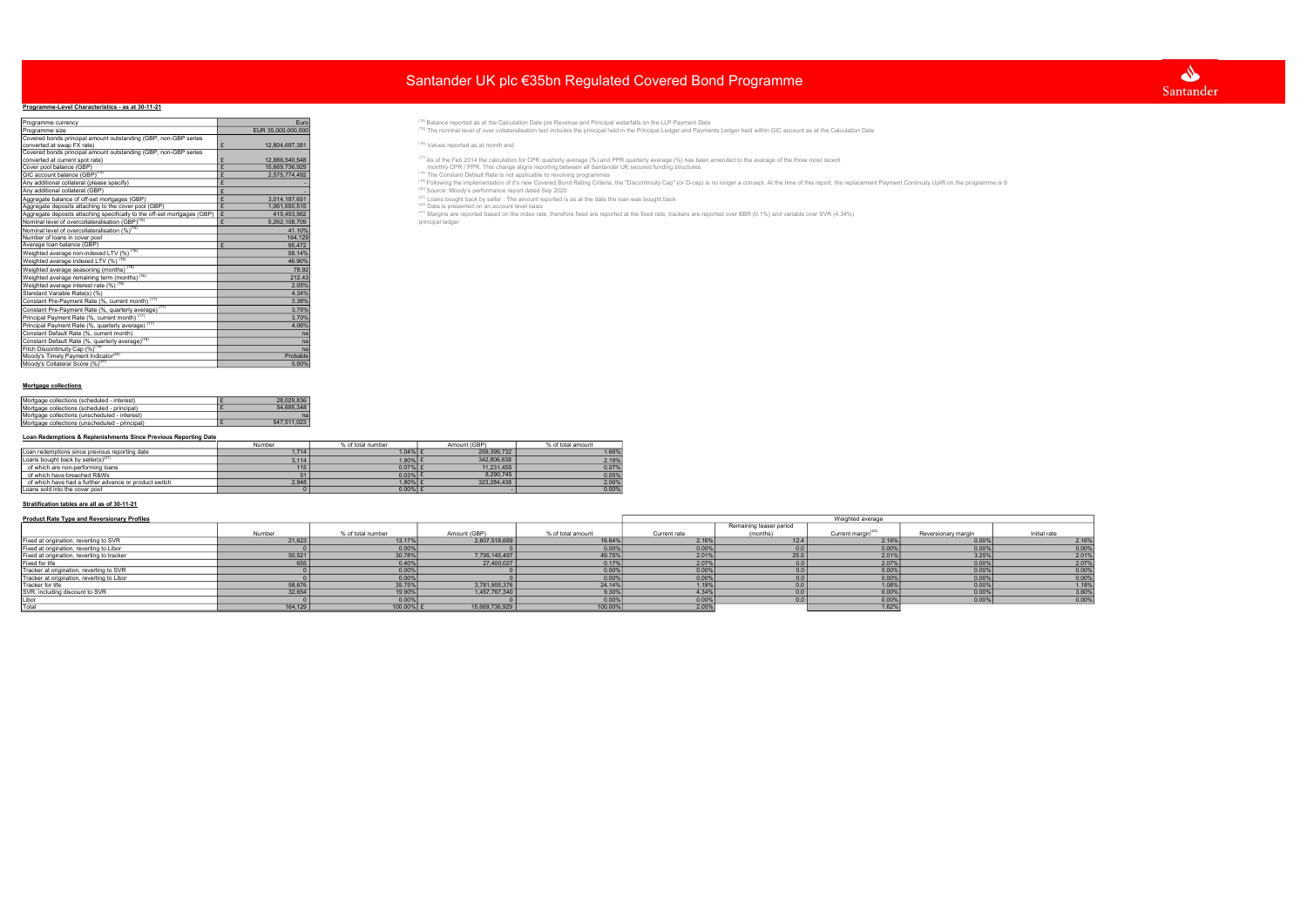#### Programme-Level Characteristics - as at 30-11-21

| Programme currency                                                         | Euro               | <sup>(14)</sup> Balance reported as at the Calculation Date pre Revenue and Principal waterfalls on the LLP Payment Date                                                                                                                |
|----------------------------------------------------------------------------|--------------------|-----------------------------------------------------------------------------------------------------------------------------------------------------------------------------------------------------------------------------------------|
| Programme size                                                             | EUR 35,000,000,000 | <sup>(15)</sup> The nominal level of over collateralisation test includes the principal held in the Principal Ledger and Payments Ledger held within GIC account as at the Calculation Date                                             |
| Covered bonds principal amount outstanding (GBP, non-GBP series            |                    |                                                                                                                                                                                                                                         |
| converted at swap FX rate)                                                 | 12,804,697,381     | (16) Values reported as at month end                                                                                                                                                                                                    |
| Covered bonds principal amount outstanding (GBP, non-GBP series            |                    |                                                                                                                                                                                                                                         |
| converted at current spot rate)                                            | 12,886,540,548     | $^{(17)}$ As of the Feb 2014 the calculation for CPR quarterly average $\frac{96}{12}$ and PPR quarterly average $\frac{96}{12}$ has been amended to the average of the three most recent                                               |
| Cover pool balance (GBP)                                                   | 15,669,736,929     | monthly CPR / PPR. This change aligns reporting between all Santander UK secured funding structures                                                                                                                                     |
| GIC account balance (GBP) <sup>(14)</sup>                                  | 2,575,774,492      | <sup>(18)</sup> The Constant Default Rate is not applicable to revolving programmes                                                                                                                                                     |
| Any additional collateral (please specify)                                 |                    | <sup>(19)</sup> Following the implementation of it's new Covered Bond Rating Criteria, the "Discontinuity Cap" (or D-cap) is no longer a concept. At the time of this report, the replacement Payment Continuity Uplift on the programm |
| Anv additional collateral (GBP)                                            |                    | (20) Source: Moody's performance report dated Sep 2020                                                                                                                                                                                  |
| Aggregate balance of off-set mortgages (GBP)                               | 3.014.187.651      | $(21)$ Loans bought back by seller : The amount reported is as at the date the loan was bought back                                                                                                                                     |
| Aggregate deposits attaching to the cover pool (GBP)                       | 1.061.650.515      | (22) Data is presented on an account level basis                                                                                                                                                                                        |
| Aggregate deposits attaching specifically to the off-set mortgages (GBP) E | 415.453.562        | <sup>(23)</sup> Margins are reported based on the index rate, therefore fixed are reported at the fixed rate, trackers are reported over BBR (0.1%) and variable over SVR (4.34%)                                                       |
| Nominal level of overcollateralisation (GBP) <sup>(15)</sup>               | 5,262,108,709      | principal ledger                                                                                                                                                                                                                        |
| Nominal level of overcollateralisation (%) <sup>(15)</sup>                 | 41.10%             |                                                                                                                                                                                                                                         |
| Number of loans in cover pool                                              | 164.129            |                                                                                                                                                                                                                                         |
| Average Ioan balance (GBP)                                                 | 95.472             |                                                                                                                                                                                                                                         |
| Weighted average non-indexed LTV (%) (16)                                  | 58.14%             |                                                                                                                                                                                                                                         |
| Weighted average indexed LTV (%) <sup>(16)</sup>                           | 46.90%             |                                                                                                                                                                                                                                         |
| Weighted average seasoning (months) <sup>(16)</sup>                        | 78.92              |                                                                                                                                                                                                                                         |
| Weighted average remaining term (months) <sup>(16)</sup>                   | 212.43             |                                                                                                                                                                                                                                         |
| Weighted average interest rate (%) (16)                                    | 2.05%              |                                                                                                                                                                                                                                         |
| Standard Variable Rate(s) (%)                                              | 4.34%              |                                                                                                                                                                                                                                         |
| Constant Pre-Payment Rate (%, current month) <sup>(17)</sup>               | 3.38%              |                                                                                                                                                                                                                                         |
| Constant Pre-Payment Rate (%, quarterly average) <sup>(17)</sup>           | 3.75%              |                                                                                                                                                                                                                                         |
| Principal Payment Rate (%, current month) <sup>(1)</sup>                   | 3.70%              |                                                                                                                                                                                                                                         |
| Principal Payment Rate (%, quarterly average) (17)                         | 4.06%              |                                                                                                                                                                                                                                         |
| Constant Default Rate (%, current month)                                   |                    |                                                                                                                                                                                                                                         |
| Constant Default Rate (%, quarterly average) <sup>(18)</sup>               |                    |                                                                                                                                                                                                                                         |
| Fitch Discontinuity Cap (%) <sup>(19)</sup>                                |                    |                                                                                                                                                                                                                                         |
| Moody's Timely Payment Indicator <sup>(20)</sup>                           | Probable           |                                                                                                                                                                                                                                         |
| Moody's Collateral Score (%) <sup>(20)</sup>                               | 5.00%              |                                                                                                                                                                                                                                         |

- 
- 

#### Mortgage collections

| Mortgage collections (scheduled - interest)    | 28.029.836  |
|------------------------------------------------|-------------|
| Mortgage collections (scheduled - principal)   | 54.695.348  |
| Mortgage collections (unscheduled - interest)  | nal         |
| Mortgage collections (unscheduled - principal) | 547,511,023 |
|                                                |             |

### Loan Redemptions & Replenishments Since Previous Reporting Date

|                                                       | Number           | % of total number | Amount (GBP) | % of total amount |
|-------------------------------------------------------|------------------|-------------------|--------------|-------------------|
| Loan redemptions since previous reporting date        | 1.714            | $1.04\%$          | 259.399.732  | 1.66%             |
| Loans bought back by seller(s) <sup>(21)</sup>        | 3,114            | 1.90% 1           | 342,806,638  | 2.19%             |
| of which are non-performing loans                     | 115 <sub>1</sub> | $0.07\%$          | 11.231.455   | 0.07%             |
| of which have breached R&Ws                           |                  | $0.03\%$          | 8.290.745    | 0.05%             |
| of which have had a further advance or product switch | 2,948            | $1.80\%$   $\pm$  | 323.284.438  | 2.06%             |
| Loans sold into the cover pool                        |                  | $0.00\%$          |              | $0.00\%$          |

#### Stratification tables are all as of 30-11-21

| <b>Product Rate Type and Reversionary Profiles</b> |  |
|----------------------------------------------------|--|
|                                                    |  |

| <b>Product Rate Type and Reversionary Profiles</b> |         |                   |                |                   |              | Weighted average        |                                |                     |              |  |  |
|----------------------------------------------------|---------|-------------------|----------------|-------------------|--------------|-------------------------|--------------------------------|---------------------|--------------|--|--|
|                                                    |         |                   |                |                   |              | Remaining teaser period |                                |                     |              |  |  |
|                                                    | Number  | % of total number | Amount (GBP)   | % of total amount | Current rate | (months)                | Current margin <sup>(23)</sup> | Reversionary margin | Initial rate |  |  |
| Fixed at origination, reverting to SVR             | 21,623  | 13.17%            | 2,607,518,689  | 16.64%            | 2.16%        | 12.4                    | 2.16 <sup>o</sup>              | 0.00%               | 2.16%        |  |  |
| Fixed at origination, reverting to Libor           |         | 0.00%             |                | 0.00%             | 0.00%        |                         | 0.00%                          | 0.00%               | 0.00%        |  |  |
| Fixed at origination, reverting to tracker         | 50,521  | 30.78%            | 7,795,145,497  | 49.75%            | 2.01%        | 25.5                    | 2.01%                          | 3.25%               | 2.01%        |  |  |
| <b>Fixed</b> for life                              | 655     | 0.40%             | 27,400,027     | $0.17\%$          | 2.07%        |                         | 2.07%                          | 0.00%               | 2.07%        |  |  |
| Tracker at origination, reverting to SVR           |         | 0.00%             |                | 0.00%             | 0.00%        |                         | 0.00%                          | 0.00%               | 0.00%        |  |  |
| Tracker at origination, reverting to Libor         |         | 0.00%             |                | 0.00%             | 0.00%        |                         | 0.00%                          | 0.00%               | 0.00%        |  |  |
| Tracker for life                                   | 58,676  | 35.75%            | 3,781,905,376  | 24.14%            | 1.18%        |                         | 1.08%                          | 0.00%               | 1.18%        |  |  |
| SVR, including discount to SVR                     | 32,654  | 19.90%            | 1,457,767,340  | 9.30%             | 4.34%        | 0.0                     | 0.00%                          | $0.00\%$            | 3.60%        |  |  |
| Libor                                              |         | 0.00%             |                | 0.00%             | 0.00%        | 0.0                     | $0.00\%$                       | 0.00%               | 0.00%        |  |  |
| Total                                              | 164,129 | $100.00\%$ £      | 15,669,736,929 | 100.00%           | 2.05%        |                         | 1.62%                          |                     |              |  |  |



|        | Initial rate |
|--------|--------------|
| 00%    | 2.16%        |
| 00%    | 0.00%        |
| 25%    | 2.01%        |
| $00\%$ | 2.07%        |
| 00%    | 0.00%        |
| 00%    | 0.00%        |
| 00%    | 1.18%        |
| 00%    | 3.60%        |
| 00%    | 0.00%        |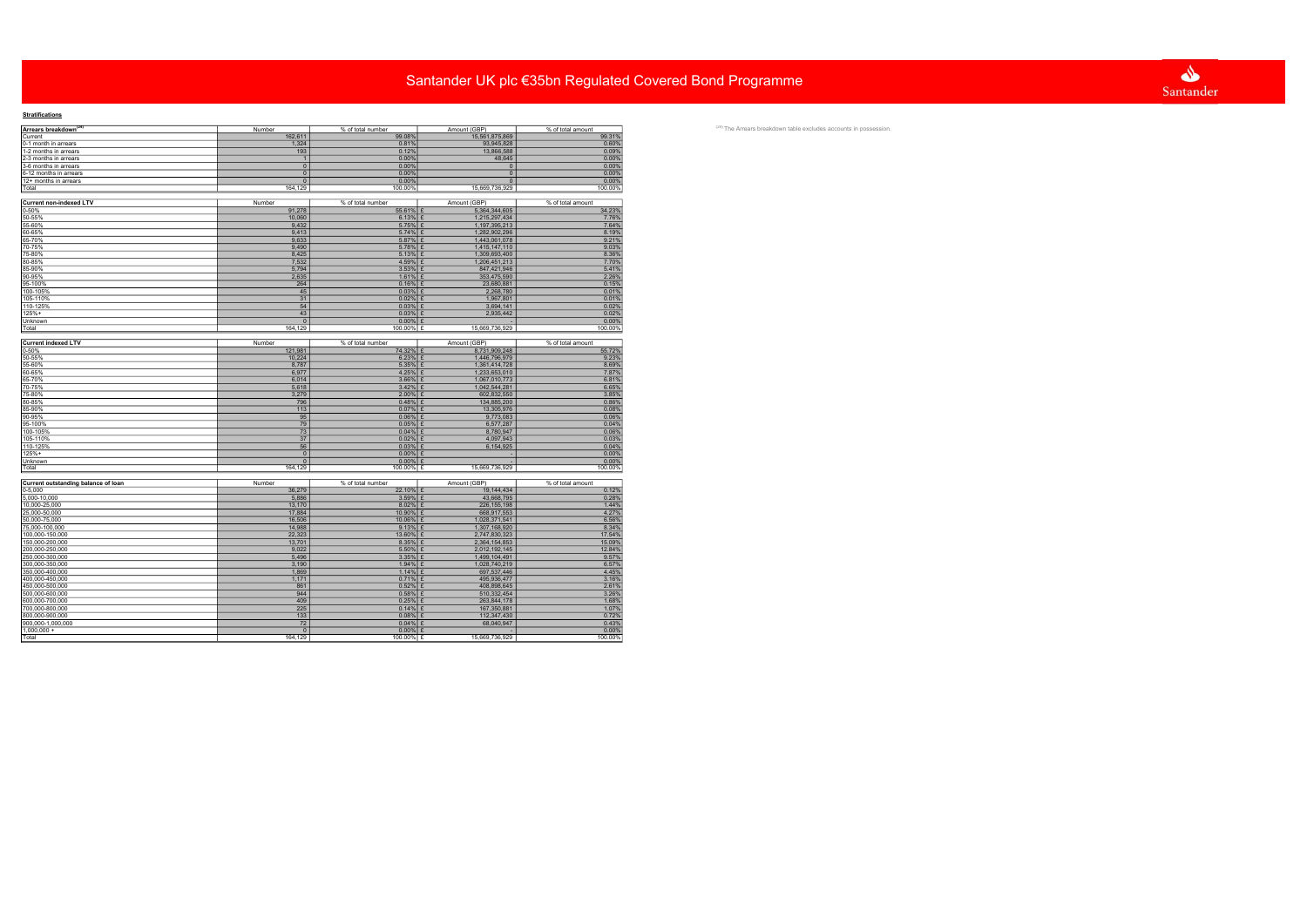| Arrears breakdown <sup>(24)</sup>   | Number         | % of total number | Amount (GBP)            | % of total amount |
|-------------------------------------|----------------|-------------------|-------------------------|-------------------|
| Current                             | 162,611        | 99.08%            | 15,561,875,869          | 99.31%            |
| 0-1 month in arrears                | 1,324          | 0.81%             | 93,945,828              | 0.60%             |
| 1-2 months in arrears               | 193            | 0.12%             | 13,866,588              | 0.09%             |
| 2-3 months in arrears               | $\mathbf{1}$   | 0.00%             | 48,645                  | 0.00%             |
| 3-6 months in arrears               | $\mathbf 0$    | 0.00%             | $\mathbf 0$             | 0.00%             |
| 6-12 months in arrears              | $\overline{0}$ | 0.00%             | $\overline{\mathbf{0}}$ | 0.00%             |
| 12+ months in arrears               | $\overline{0}$ | 0.00%             | $\overline{0}$          | 0.00%             |
| Total                               | 164,129        | 100.00%           | 15,669,736,929          | 100.00%           |
|                                     |                |                   |                         |                   |
| <b>Current non-indexed LTV</b>      |                | % of total number | Amount (GBP)            | % of total amount |
|                                     | Number         |                   |                         |                   |
| 0-50%                               | 91,278         | 55.61% £          | 5,364,344,605           | 34.23%            |
| 50-55%                              | 10,060         | 6.13% £           | 1,215,297,434           | 7.76%             |
| 55-60%                              | 9,432          | 5.75% £           | 1,197,395,213           | 7.64%             |
| 60-65%                              | 9,413          | 5.74% $E$         | 1,282,902,296           | 8.19%             |
| 65-70%                              | 9,633          | $5.87\%$ £        | 1,443,061,078           | 9.21%             |
| 70-75%                              | 9,490          | 5.78% $E$         | 1,415,147,110           | 9.03%             |
| 75-80%                              | 8,425          | 5.13% $E$         | 1,309,693,400           | 8.36%             |
| 80-85%                              | 7,532          | 4.59%             | 1,206,451,213           | 7.70%             |
| 85-90%                              | 5,794          | $3.53\%$ £        | 847,421,946             | 5.41%             |
| 90-95%                              | 2,635          | $1.61\%$ £        | 353,475,590             | 2.26%             |
| 95-100%                             | 264            | $0.16\%$ £        | 23,680,881              | 0.15%             |
| 100-105%                            | 45             | $0.03\%$ £        | 2,268,780               | 0.01%             |
| 105-110%                            | 31             | $0.02\%$ £        | 1,967,801               | 0.01%             |
| 110-125%                            | 54             | $0.03\%$ £        | 3,694,141               | 0.02%             |
| 125%+                               | 43             | $0.03\%$ £        | 2,935,442               | 0.02%             |
| Unknown                             | $\mathbf{0}$   | $0.00\%$ £        |                         | 0.00%             |
| Total                               | 164,129        | 100.00% £         | 15,669,736,929          | 100.00%           |
|                                     |                |                   |                         |                   |
|                                     |                |                   |                         |                   |
| <b>Current indexed LTV</b>          | Number         | % of total number | Amount (GBP)            | % of total amount |
| 0-50%                               | 121,981        | 74.32%            | 8,731,909,248           | 55.72%            |
| 50-55%                              | 10,224         | 6.23%             | 1,446,796,979           | 9.23%             |
| 55-60%                              | 8,787          | 5.35% $E$         | 1,361,414,728           | 8.69%             |
| 60-65%                              | 6,977          | 4.25% $E$         | 1,233,653,010           | 7.87%             |
| 65-70%                              | 6,014          | $3.66\%$ £        | 1,067,010,773           | 6.81%             |
| 70-75%                              | 5,618          | $3.42\%$ £        | 1,042,544,281           | 6.65%             |
| 75-80%                              | 3,279          | $2.00\%$ £        | 602,832,550             | 3.85%             |
| 80-85%                              | 796            | $0.48\%$ £        | 134,885,200             | 0.86%             |
| 85-90%                              | 113            | $0.07\%$ £        | 13,305,976              | 0.08%             |
| 90-95%                              | 95             | $0.06\%$ £        | 9,773,083               | 0.06%             |
| 95-100%                             | 79             | $0.05\%$ £        | 6,577,287               | 0.04%             |
| 100-105%                            | 73             | $0.04\%$ £        | 8,780,947               | 0.06%             |
| 105-110%                            | 37             | $0.02\%$ £        | 4,097,943               | 0.03%             |
| 110-125%                            | 56             | $0.03\%$ £        | 6,154,925               | 0.04%             |
| 125%+                               | $\mathbf 0$    | $0.00\%$ £        |                         | 0.00%             |
| Unknown                             | $\mathbf{0}$   | 0.00%             | £                       | 0.00%             |
| Total                               | 164,129        | 100.00% £         | 15,669,736,929          | 100.00%           |
|                                     |                |                   |                         |                   |
| Current outstanding balance of loan | Number         | % of total number | Amount (GBP)            | % of total amount |
|                                     |                |                   |                         |                   |
| $0 - 5,000$                         | 36,279         | 22.10% £          | 19, 144, 434            | 0.12%             |
| 5,000-10,000                        | 5,886          | $3.59\%$ £        | 43,668,795              | 0.28%             |
| 10,000-25,000                       | 13,170         | $8.02\%$ £        | 226, 155, 198           | 1.44%             |
| 25,000-50,000                       | 17,884         | 10.90% £          | 668,917,553             | 4.27%             |
| 50,000-75,000                       | 16,506         | 10.06% £          | 1,028,371,541           | 6.56%             |
| 75,000-100,000                      | 14,988         | $9.13\%$ £        | 1,307,168,920           | 8.34%             |
| 100,000-150,000                     | 22,323         | 13.60% £          | 2,747,830,323           | 17.54%            |
| 150,000-200,000                     | 13,701         | 8.35% $E$         | 2,364,154,853           | 15.09%            |
| 200,000-250,000                     | 9,022          | $5.50\%$ £        | 2,012,192,145           | 12.84%            |
| 250,000-300,000                     | 5,496          | $3.35\%$ £        | 1,499,104,491           | 9.57%             |
| 300,000-350,000                     | 3,190          | $1.94\%$ £        | 1,028,740,219           | 6.57%             |
| 350,000-400,000                     | 1,869          | 1.14% $E$         | 697,537,446             | 4.45%             |
| 400,000-450,000                     | 1,171          | $0.71\%$ £        | 495,936,477             | 3.16%             |
| 450,000-500,000                     | 861            | $0.52\%$ £        | 408,898,645             | 2.61%             |
| 500,000-600,000                     | 944            | $0.58\%$ £        | 510,332,454             | 3.26%             |
| 600,000-700,000                     | 409            | $0.25\%$ £        | 263,844,178             | 1.68%             |
| 700,000-800,000                     | 225            | $0.14\%$ £        | 167,350,881             | 1.07%             |
|                                     | 133            |                   | 112,347,430             | 0.72%             |
| 800,000-900,000                     |                | $0.08\%$ £        |                         |                   |
| 900,000-1,000,000                   | 72             | $0.04\%$ £        | 68,040,947              | 0.43%             |
| $1,000,000 +$                       | $\mathbf 0$    | $0.00\%$ £        |                         | 0.00%             |
| Total                               | 164,129        | 100.00% £         | 15,669,736,929          | 100.00%           |

 $A^{(24)}$  The Arrears breakdown table excludes accounts in possession.



# Santander UK plc €35bn Regulated Covered Bond Programme

### **Stratifications**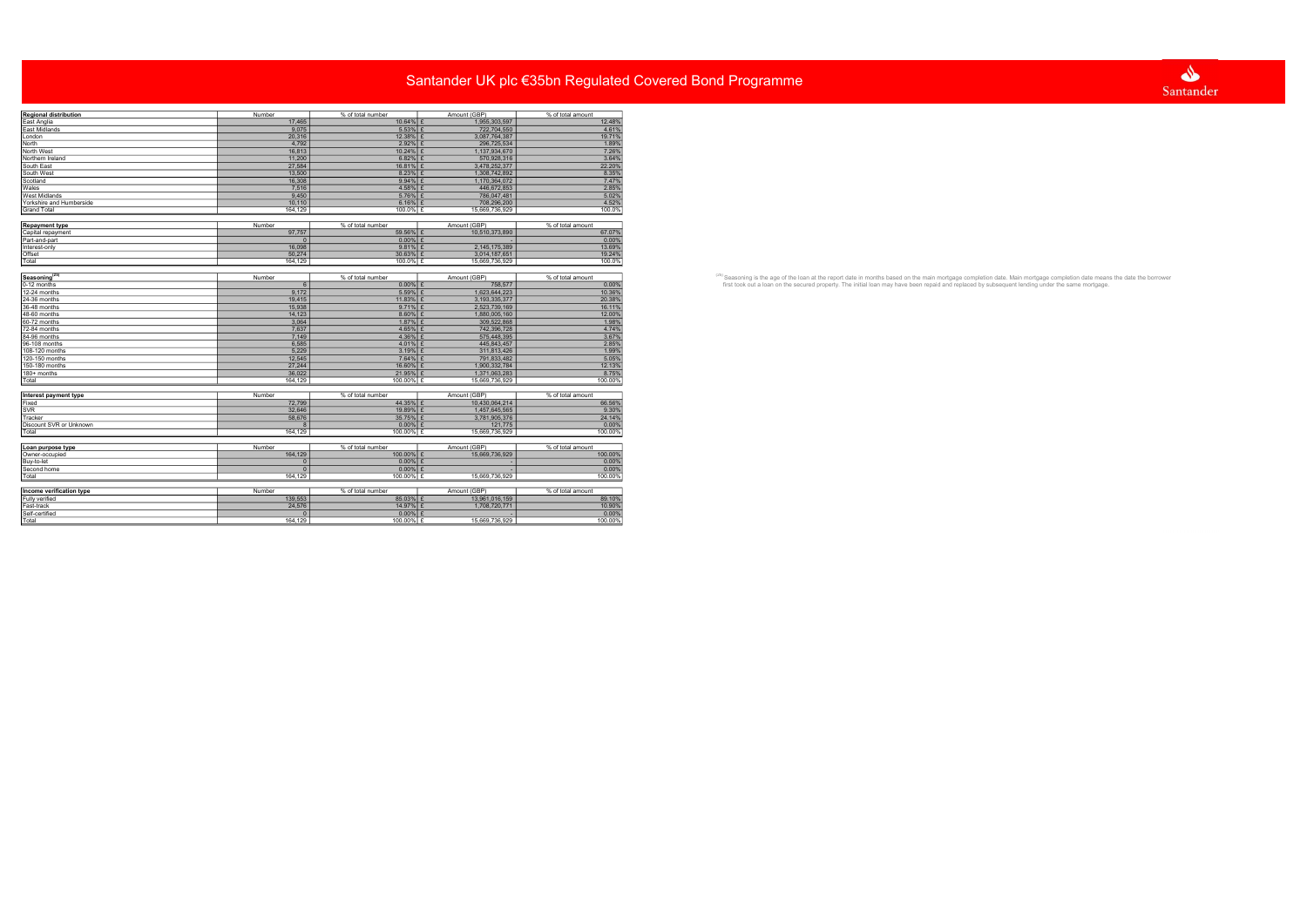| <b>Regional distribution</b>                         | Number         | % of total number | Amount (GBP)   | % of total amount         |                                                                                                                                                                                     |
|------------------------------------------------------|----------------|-------------------|----------------|---------------------------|-------------------------------------------------------------------------------------------------------------------------------------------------------------------------------------|
|                                                      | 17,465         | 10.64% £          | 1,955,303,597  | 12.48%                    |                                                                                                                                                                                     |
| East Anglia<br>East Midlands                         | 9,075          | $5.53\%$ £        | 722,704,550    | 4.61%                     |                                                                                                                                                                                     |
| London                                               | 20,316         | 12.38% £          | 3,087,764,387  | 19.71%                    |                                                                                                                                                                                     |
| North                                                | 4,792          | $2.92\%$ £        | 296,725,534    | 1.89%                     |                                                                                                                                                                                     |
| North West                                           | 16,813         | $10.24\%$ £       | 1,137,934,670  | 7.26%                     |                                                                                                                                                                                     |
| Northern Ireland                                     | 11,200         | $6.82%$ £         | 570,928,316    |                           |                                                                                                                                                                                     |
| South East                                           | 27,584         | 16.81% £          | 3,478,252,377  | $\frac{3.64\%}{22.20\%}$  |                                                                                                                                                                                     |
| South West                                           | 13,500         | $8.23\%$ £        | 1,308,742,892  | 8.35%                     |                                                                                                                                                                                     |
| Scotland                                             | 16,308         | $9.94\%$ £        | 1,170,364,072  | 7.47%                     |                                                                                                                                                                                     |
| Wales                                                | 7,516          | 4.58% £           | 446,672,853    | 2.85%                     |                                                                                                                                                                                     |
| <b>West Midlands</b>                                 | 9,450          | $5.76\%$ £        | 786,047,481    | 5.02%                     |                                                                                                                                                                                     |
| Yorkshire and Humberside                             | 10,110         | $6.16\%$ £        | 708,296,200    | 4.52%                     |                                                                                                                                                                                     |
| <b>Grand Total</b>                                   | 164,129        | $100.0\%$ £       | 15,669,736,929 | 100.0%                    |                                                                                                                                                                                     |
|                                                      |                |                   |                |                           |                                                                                                                                                                                     |
|                                                      | Number         | % of total number | Amount (GBP)   | % of total amount         |                                                                                                                                                                                     |
|                                                      | 97,757         | 59.56% £          | 10,510,373,890 | 67.07%                    |                                                                                                                                                                                     |
| Repayment type<br>Capital repayment<br>Part-and-part | $\Omega$       | $0.00\%$ £        |                | 0.00%                     |                                                                                                                                                                                     |
| Interest-only                                        | 16,098         | $9.81\%$ £        | 2,145,175,389  | 13.69%                    |                                                                                                                                                                                     |
|                                                      | 50,274         | 30.63% £          | 3,014,187,651  | 19.24%                    |                                                                                                                                                                                     |
| Offset<br>Total                                      | 164,129        | 100.0% £          | 15,669,736,929 | 100.0%                    |                                                                                                                                                                                     |
|                                                      |                |                   |                |                           |                                                                                                                                                                                     |
| Seasoning <sup>(25)</sup>                            | Number         | % of total number | Amount (GBP)   | % of total amount         | <sup>(25)</sup> Seasoning is the age of the loan at the report date in months based on the main mortgage completion date. Main mortgage completion date means the date the borrower |
| $0-12$ months                                        | 6              | $0.00\%$ £        | 758,577        | 0.00%                     | first took out a loan on the secured property. The initial loan may have been repaid and replaced by subsequent lending under the same mortgage.                                    |
| 12-24 months                                         | 9,172          | $5.59\%$ £        | 1,623,644,223  | 10.36%                    |                                                                                                                                                                                     |
| 24-36 months                                         | 19,415         | 11.83% £          | 3,193,335,377  | 20.38%                    |                                                                                                                                                                                     |
| 36-48 months                                         | 15,938         | $9.71\%$ £        | 2,523,739,169  | 16.11%                    |                                                                                                                                                                                     |
| 48-60 months                                         | 14,123         | $8.60\%$ £        | 1,880,005,160  | 12.00%                    |                                                                                                                                                                                     |
| 60-72 months                                         | 3,064          | $1.87\%$ £        | 309,522,868    | 1.98%                     |                                                                                                                                                                                     |
| 72-84 months                                         | 7,637          | $4.65%$ £         | 742,396,728    | 4.74%                     |                                                                                                                                                                                     |
| 84-96 months                                         | 7,149          | 4.36% £           | 575,448,395    | 3.67%                     |                                                                                                                                                                                     |
| 96-108 months                                        | 6,585          | $4.01\%$ £        | 445,843,457    | 2.85%                     |                                                                                                                                                                                     |
| 108-120 months                                       | 5,229          | $3.19%$ £         | 311,813,426    | 1.99%                     |                                                                                                                                                                                     |
| 120-150 months                                       | 12,545         | $7.64\%$ £        | 791,833,482    | 5.05%                     |                                                                                                                                                                                     |
| 150-180 months                                       | 27,244         | 16.60% £          | 1,900,332,784  | 12.13%                    |                                                                                                                                                                                     |
| 180+ months                                          | 36,022         | $21.95\%$ £       | 1,371,063,283  | 8.75%                     |                                                                                                                                                                                     |
| Total                                                | 164,129        | 100.00% £         | 15,669,736,929 | 100.00%                   |                                                                                                                                                                                     |
|                                                      |                |                   |                |                           |                                                                                                                                                                                     |
| Interest payment type                                | Number         | % of total number | Amount (GBP)   | % of total amount         |                                                                                                                                                                                     |
| Fixed                                                | 72,799         | 44.35% £          | 10,430,064,214 | 66.56%                    |                                                                                                                                                                                     |
| <b>SVR</b>                                           | 32,646         | 19.89% £          | 1,457,645,565  | 9.30%                     |                                                                                                                                                                                     |
| Tracker                                              | 58,676         | 35.75% £          | 3,781,905,376  | 24.14%                    |                                                                                                                                                                                     |
|                                                      | $\overline{8}$ | $0.00\%$ £        | 121,775        |                           |                                                                                                                                                                                     |
| Discount SVR or Unknown<br>Total                     | 164,129        | $100.00\%$ £      | 15,669,736,929 | $\frac{0.00\%}{100.00\%}$ |                                                                                                                                                                                     |
|                                                      |                |                   |                |                           |                                                                                                                                                                                     |
| Loan purpose type                                    | Number         | % of total number | Amount (GBP)   | % of total amount         |                                                                                                                                                                                     |
| Owner-occupied                                       | 164,129        | 100.00% £         | 15,669,736,929 | 100.00%                   |                                                                                                                                                                                     |
| Buy-to-let                                           | $\Omega$       | $0.00\%$ £        |                | 0.00%                     |                                                                                                                                                                                     |
|                                                      | $\Omega$       | $0.00\%$ £        |                | 0.00%                     |                                                                                                                                                                                     |
| Second home<br>Total                                 | 164, 129       | $100.00\%$ £      | 15,669,736,929 | 100.00%                   |                                                                                                                                                                                     |
|                                                      |                |                   |                |                           |                                                                                                                                                                                     |
| Income verification type                             | Number         | % of total number | Amount (GBP)   | % of total amount         |                                                                                                                                                                                     |
| Fully verified                                       | 139,553        | 85.03% £          | 13,961,016,159 | 89.10%                    |                                                                                                                                                                                     |
| Fast-track                                           | 24,576         | 14.97% £          | 1,708,720,771  | 10.90%                    |                                                                                                                                                                                     |
|                                                      | $\Omega$       | $0.00\%$ £        |                | 0.00%                     |                                                                                                                                                                                     |
| Self-certified<br>Total                              | 164,129        | 100.00% £         | 15,669,736,929 | 100.00%                   |                                                                                                                                                                                     |
|                                                      |                |                   |                |                           |                                                                                                                                                                                     |

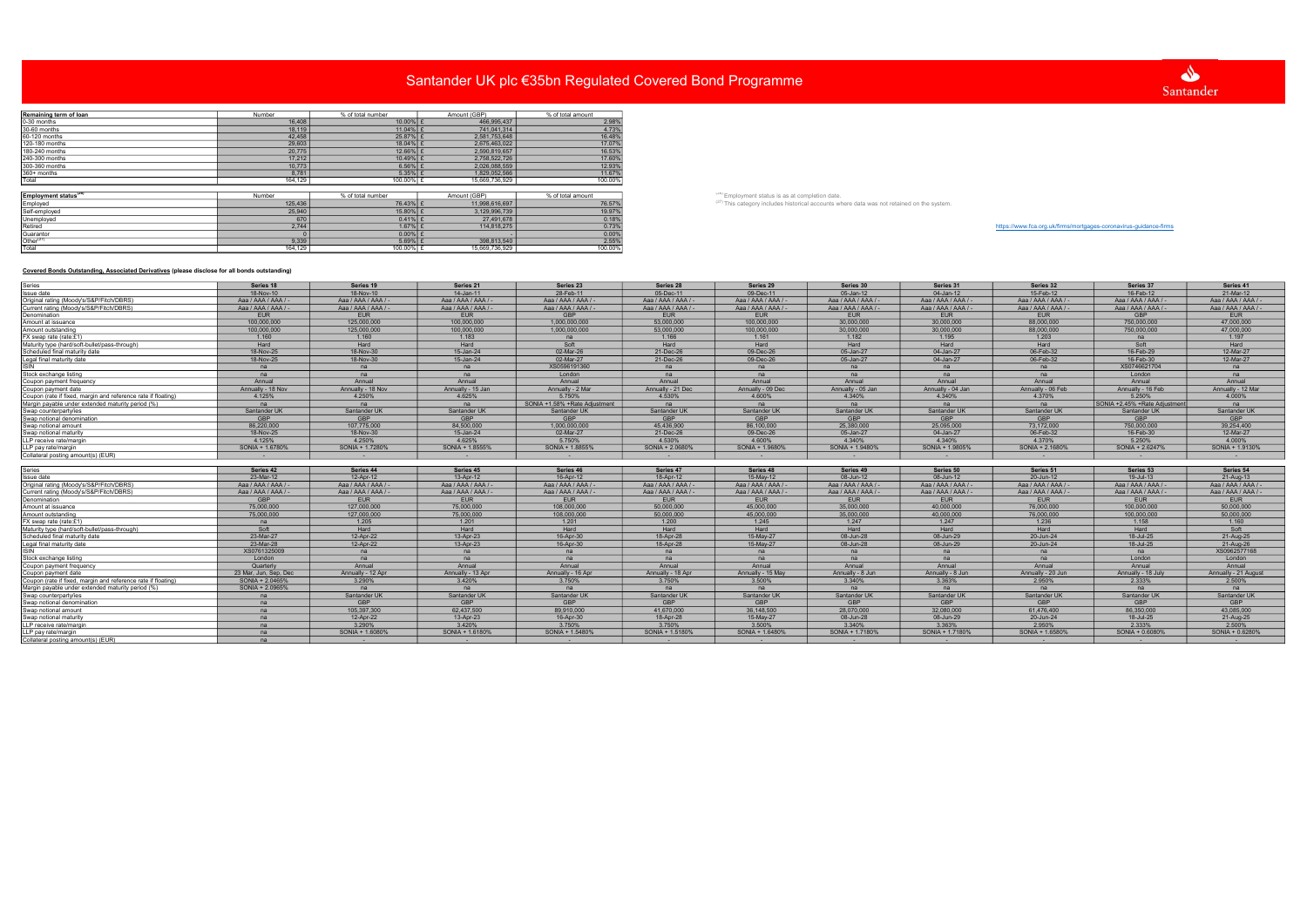| Remaining term of loan                                                                                  | Number   | % of total number | Amount (GBP)   | % of total amount |                                                                                                       |
|---------------------------------------------------------------------------------------------------------|----------|-------------------|----------------|-------------------|-------------------------------------------------------------------------------------------------------|
| 0-30 months                                                                                             | 16,408   | $10.00\%$         | 466,995,437    | 2.98%             |                                                                                                       |
| 30-60 months                                                                                            | 18,119   | 11.04%            | 741,041,314    | 4.73%             |                                                                                                       |
| 60-120 months                                                                                           | 42,458   | 25.87% £          | 2,581,753,648  | 16.48%            |                                                                                                       |
| 120-180 months                                                                                          | 29,603   | 18.04%            | 2,675,463,022  | 17.07%            |                                                                                                       |
| 180-240 months                                                                                          | 20,775   | 12.66%            | 2,590,819,657  | 16.53%            |                                                                                                       |
| 240-300 months                                                                                          | 17,212   | $10.49\%$   1     | 2,758,522,726  | 17.60%            |                                                                                                       |
| 300-360 months                                                                                          | 10,773   | $6.56\%$          | 2,026,088,559  | 12.93%            |                                                                                                       |
| 360+ months                                                                                             | 8,781    | $5.35\%$          | 1,829,052,566  | 11.67%            |                                                                                                       |
|                                                                                                         | 164, 129 | 100.00%           | 15,669,736,929 | 100.00%           |                                                                                                       |
| Employment status <sup>(26)</sup>                                                                       | Number   | % of total number | Amount (GBP)   | % of total amount | <sup>(26)</sup> Employment status is as at completion date.                                           |
| Employed                                                                                                | 125,436  | 76.43%            | 11,998,616,697 | 76.57%            | <sup>(27)</sup> This category includes historical accounts where data was not retained on the system. |
| Self-employed                                                                                           | 25,940   | 15.80%            | 3,129,996,739  | 19.97%            |                                                                                                       |
| Unemployed                                                                                              | 670      | $0.41\%$ }        | 27,491,678     | 0.18%             |                                                                                                       |
| Retired                                                                                                 | 2,744    | $1.67\%$ £        | 114,818,275    | 0.73%             |                                                                                                       |
|                                                                                                         |          | $0.00\%$          |                | 0.00%             |                                                                                                       |
| $\frac{\text{Guarantor}}{\text{Other}^{\text{(Z7)}}}\n \frac{\text{Other}^{\text{(Z7)}}}{\text{Total}}$ | 9,339    | $5.69\%$          | 398,813,540    | 2.55%             |                                                                                                       |
|                                                                                                         | 164,129  | 100.00%           | 15,669,736,929 | 100.00%           |                                                                                                       |

### Covered Bonds Outstanding, Associated Derivatives (please disclose for all bonds outstanding)

| Series                                                        | Series 18             | Series 19           | Series 21           | Series 23                     | Series 28           | Series 29           | Series 30           | Series 31           | Series 32           | Series 37                    | Series 41            |
|---------------------------------------------------------------|-----------------------|---------------------|---------------------|-------------------------------|---------------------|---------------------|---------------------|---------------------|---------------------|------------------------------|----------------------|
| Issue date                                                    | 18-Nov-10             | 18-Nov-10           | $14 - Jan - 11$     | 28-Feb-11                     | $05$ -Dec-11        | 09-Dec-11           | $05 - Jan - 12$     | $04 - Jan - 12$     | 15-Feb-12           | 16-Feb-12                    | 21-Mar-12            |
| Original rating (Moody's/S&P/Fitch/DBRS)                      | Aaa / AAA / AAA /     | Aaa / AAA / AAA / - | Aaa / AAA / AAA / - | Aaa / AAA / AAA / -           | Aaa / AAA / AAA / - | Aaa / AAA / AAA /   | Aaa / AAA / AAA / - | Aaa / AAA / AAA / - | Aaa / AAA / AAA / - | Aaa / AAA / AAA /            | Aaa / AAA / AAA /    |
| Current rating (Moody's/S&P/Fitch/DBRS)                       | Aaa / AAA / AAA / -   | Aaa / AAA / AAA / - | Aaa / AAA / AAA / - | Aaa / AAA / AAA / -           | Aaa / AAA / AAA / - | Aaa / AAA / AAA / - | Aaa / AAA / AAA / - | Aaa / AAA / AAA / - | Aaa / AAA / AAA / - | Aaa / AAA / AAA / -          | Aaa / AAA / AAA /    |
| Denomination                                                  | <b>EUR</b>            | <b>EUR</b>          | <b>EUR</b>          | <b>GBP</b>                    | <b>EUR</b>          | <b>EUR</b>          | <b>EUR</b>          | <b>EUR</b>          | <b>EUR</b>          | <b>GBP</b>                   | <b>EUR</b>           |
| Amount at issuance                                            | 100.000.000           | 125,000,000         | 100.000.000         | 1.000.000.000                 | 53,000,000          | 100.000.000         | 30,000,000          | 30,000,000          | 88.000.000          | 750,000,000                  | 47,000,000           |
| Amount outstanding                                            | 100,000,000           | 125,000,000         | 100,000,000         | 1,000,000,000                 | 53,000,000          | 100,000,000         | 30,000,000          | 30,000,000          | 88,000,000          | 750,000,000                  | 47.000.000           |
| FX swap rate (rate:£1)                                        | 1.160                 | 1.160               | 1.183               | na                            | 1.166               | 1.161               | 1.182               | 1.195               | 1.203               | na                           | 1.197                |
| Maturity type (hard/soft-bullet/pass-through                  | Hard                  | Hard                | Hard                | Soft                          | Hard                | Hard                | Hard                | Hard                | Hard                | Soft                         | Hard                 |
| Scheduled final maturity date                                 | 18-Nov-25             | 18-Nov-30           | 15-Jan-24           | 02-Mar-26                     | 21-Dec-26           | 09-Dec-26           | 05-Jan-27           | 04-Jan-27           | 06-Feb-32           | 16-Feb-29                    | 12-Mar-27            |
| Legal final maturity date                                     | 18-Nov-25             | 18-Nov-30           | 15-Jan-24           | 02-Mar-27                     | 21-Dec-26           | 09-Dec-26           | 05-Jan-27           | 04-Jan-27           | 06-Feb-32           | 16-Feb-30                    | 12-Mar-27            |
| ISIN                                                          | na                    | na                  | na                  | XS0596191360                  | na                  | na                  | na                  | na                  | na                  | XS0746621704                 | na                   |
|                                                               | na                    | na                  |                     | London                        | na                  | na                  | na                  |                     | na                  | London                       | na                   |
| Stock exchange listing                                        | Annual                | Annual              | na<br>Annual        | Annual                        | Annual              | Annual              | Annual              | na<br>Annual        | Annual              | Annual                       | Annual               |
| Coupon payment frequency                                      |                       |                     |                     |                               |                     |                     |                     |                     |                     |                              |                      |
| Coupon payment date                                           | Annually - 18 Nov     | Annually - 18 Nov   | Annually - 15 Jan   | Annually - 2 Mar              | Annually - 21 Dec   | Annually - 09 Dec   | Annually - 05 Jan   | Annually - 04 Jar   | Annually - 06 Feb   | Annually - 16 Feb            | Annually - 12 Ma     |
| Coupon (rate if fixed, margin and reference rate if floating) | 4.125%                | 4.250%              | 4.625%              | 5.750%                        | 4.530%              | 4.600%              | 4.340%              | 4.340%              | 4.370%              | 5.250%                       | 4.000%               |
| Margin payable under extended maturity period (%)             | na                    | na                  | na                  | SONIA +1.58% +Rate Adjustment | na                  | na                  | na                  | na                  | na                  | SONIA +2.45% +Rate Adjustmen | na                   |
| Swap counterparty/ies                                         | Santander UK          | Santander UK        | Santander UK        | Santander UK                  | Santander Ul        | Santander UK        | Santander UK        | Santander UK        | Santander UK        | Santander UK                 | Santander Ur         |
| Swap notional denomination                                    | <b>GBP</b>            | <b>GBP</b>          | <b>GBP</b>          | <b>GBP</b>                    | <b>GBP</b>          | <b>GBP</b>          | <b>GBP</b>          | <b>GBP</b>          | <b>GBP</b>          | <b>GBP</b>                   | <b>GBP</b>           |
| Swap notional amount                                          | 86.220.000            | 107.775.000         | 84,500,000          | 1.000.000.000                 | 45.436.900          | 86,100,000          | 25,380,000          | 25.095.000          | 73.172.000          | 750,000,000                  | 39.254.400           |
| Swap notional maturity                                        | 18-Nov-25             | 18-Nov-30           | 15-Jan-24           | 02-Mar-27                     | 21-Dec-26           | 09-Dec-26           | 05-Jan-27           | 04-Jan-27           | 06-Feb-32           | 16-Feb-30                    | 12-Mar-27            |
| LLP receive rate/margin                                       | 4.125%                | 4.250%              | 4.625%              | 5.750%                        | 4.530%              | 4.600%              | 4.340%              | 4.340%              | 4.370%              | 5.250%                       | 4.000%               |
| LLP pay rate/margin                                           | SONIA + 1.67809       | SONIA + 1.72809     | SONIA + 1.8555%     | SONIA + 1.8855%               | SONIA + 2.0680%     | SONIA + 1.96809     | SONIA + 1.9480%     | SONIA + 1.9805%     | SONIA + 2.1680%     | SONIA + 2.6247%              | SONIA + 1.9130%      |
| Collateral posting amount(s) (EUR)                            |                       |                     |                     |                               |                     |                     |                     |                     |                     |                              |                      |
|                                                               |                       |                     |                     |                               |                     |                     |                     |                     |                     |                              |                      |
| Series                                                        | Series 42             | Series 44           | Series 45           | Series 46                     | Series 47           | Series 48           | Series 49           | Series 50           | Series 51           | Series 53                    | Series 54            |
| Issue date                                                    | 23-Mar-12             | 12-Apr-12           | 13-Apr-12           | 16-Apr-12                     | 18-Apr-12           | 15-May-12           | 08-Jun-12           | 08-Jun-12           | 20-Jun-12           | 19-Jul-13                    | 21-Aug-13            |
| Original rating (Moody's/S&P/Fitch/DBRS)                      | Aaa / AAA / AAA /     | Aaa / AAA / AAA /   | Aaa / AAA / AAA /   | Aaa / AAA / AAA /             | Aaa / AAA / AAA /   | Aaa / AAA / AAA /   | Aaa / AAA / AAA / - | Aaa / AAA / AAA / - | Aaa / AAA / AAA /   | Aaa / AAA / AAA /            | Aaa / AAA / AAA      |
| Current rating (Moody's/S&P/Fitch/DBRS)                       | Aaa / AAA / AAA /     | Aaa / AAA / AAA / - | Aaa / AAA / AAA / - | Aaa / AAA / AAA / -           | Aaa / AAA / AAA / - | Aaa / AAA / AAA / - | Aaa / AAA / AAA / - | Aaa / AAA / AAA / - | Aaa / AAA / AAA / - | Aaa / AAA / AAA / -          | Aaa / AAA / AAA /    |
| Denomination                                                  | <b>GBP</b>            | <b>EUR</b>          | <b>EUR</b>          | <b>EUR</b>                    | <b>EUR</b>          | <b>EUR</b>          | <b>EUR</b>          | <b>EUR</b>          | <b>EUR</b>          | <b>EUR</b>                   | <b>EUR</b>           |
| Amount at issuance                                            | 75,000,000            | 127,000,000         | 75,000,000          | 108,000,000                   | 50.000.000          | 45.000.000          | 35,000,000          | 40.000.000          | 76,000,000          | 100,000,000                  | 50.000.000           |
| Amount outstanding                                            | 75,000,000            | 127,000,000         | 75,000,000          | 108,000,000                   | 50,000,000          | 45.000.000          | 35.000.000          | 40.000.000          | 76,000,000          | 100,000,000                  | 50.000.000           |
| FX swap rate (rate:£1)                                        | na                    | 1.205               | 1.201               | 1.201                         | 1.200               | 1.245               | 1.247               | 1.247               | 1.236               | 1.158                        | 1.160                |
| Maturity type (hard/soft-bullet/pass-through)                 | Soft                  | Hard                | Hard                | Hard                          | Hard                | Hard                | Hard                | Hard                | Hard                | Hard                         | Soft                 |
| Scheduled final maturity date                                 | 23-Mar-27             | 12-Apr-22           | 13-Apr-23           | 16-Apr-30                     | 18-Apr-28           | 15-May-27           | 08-Jun-28           | 08-Jun-29           | 20-Jun-24           | 18-Jul-25                    | 21-Aug-25            |
| Legal final maturity date                                     | 23-Mar-28             | 12-Apr-22           | 13-Apr-23           | 16-Apr-30                     | 18-Apr-28           | 15-May-27           | 08-Jun-28           | 08-Jun-29           | 20-Jun-24           | 18-Jul-25                    | 21-Aug-26            |
|                                                               | XS0761325009          | na                  | na                  | na                            | na                  | na                  | na                  | na                  | na                  | na                           | XS0962577168         |
| Stock exchange listing                                        | London                | na                  | na                  | na                            | na                  | na                  | na                  | na                  | na                  | London                       | London               |
| Coupon payment frequency                                      | Quarterly             | Annual              | Annual              | Annual                        | Annual              | Annual              | Annual              | Annual              | Annual              | Annual                       | Annual               |
| Coupon payment date                                           | 23 Mar, Jun, Sep, Dec | Annually - 12 Apr   | Annually - 13 Apr   | Annually - 16 Apr             | Annually - 18 Apr   | Annually - 15 May   | Annually - 8 Jun    | Annually - 8 Jun    | Annually - 20 Jun   | Annually - 18 July           | Annually - 21 August |
| Coupon (rate if fixed, margin and reference rate if floating) | SONIA + 2.0465%       | 3.290%              | 3.420%              | 3.750%                        | 3.750%              | 3.500%              | 3.340%              | 3.363%              | 2.950%              | 2.333%                       | 2.500%               |
| Margin payable under extended maturity period (%)             | SONIA + 2.0965%       | na                  | na                  | na                            | na                  | na                  | na                  | na                  | na                  | na                           | na                   |
| Swap counterparty/ies                                         | na                    | Santander UK        | Santander UK        | Santander UK                  | Santander UK        | Santander UK        | Santander UK        | Santander UK        | Santander UK        | Santander UK                 | Santander UK         |
|                                                               |                       |                     |                     | <b>GBP</b>                    | <b>GBP</b>          | <b>GBP</b>          | <b>GBP</b>          | GBP                 | <b>GBP</b>          | <b>GBP</b>                   | <b>GBP</b>           |
|                                                               | na                    | <b>GBP</b>          | GBP                 |                               |                     |                     |                     |                     |                     |                              |                      |
| Swap notional denomination                                    |                       |                     |                     |                               |                     |                     |                     |                     |                     |                              |                      |
| Swap notional amount                                          | na                    | 105,397,300         | 62,437,500          | 89,910,000                    | 41,670,000          | 36,148,500          | 28,070,000          | 32,080,000          | 61,476,400          | 86,350,000                   | 43.085.000           |
| Swap notional maturity                                        | na                    | 12-Apr-22           | 13-Apr-23           | 16-Apr-30                     | 18-Apr-28           | 15-May-27           | 08-Jun-28           | 08-Jun-29           | 20-Jun-24           | 18-Jul-25                    | 21-Aug-25            |
| LLP receive rate/margin                                       | na                    | 3.290%              | 3.420%              | 3.750%                        | 3.750%              | 3.500%              | 3.340%              | 3.363%              | 2.950%              | 2.333%                       | 2.500%               |
| LLP pay rate/margin<br>Collateral posting amount(s) (EUR)     | na<br>na              | SONIA + 1.6080%     | SONIA + 1.6180%     | SONIA + 1.5480%               | SONIA + 1.5180%     | SONIA + 1.6480%     | SONIA + 1.7180%     | SONIA + 1.7180%     | SONIA + 1.6580%     | SONIA + 0.6080%              | SONIA + 0.62809      |



### https://www.fca.org.uk/firms/mortgages-coronavirus-guidance-firms

| <b>Series</b> 32    | <b>Series</b> 37              | Series 41            |  |
|---------------------|-------------------------------|----------------------|--|
| 15-Feb-12           | 16-Feb-12                     | 21-Mar-12            |  |
| Aaa / AAA / AAA / - | Aaa / AAA / AAA / -           | Aaa / AAA / AAA / -  |  |
| Aaa / AAA / AAA / - | Aaa / AAA / AAA / -           | Aaa / AAA / AAA / -  |  |
| <b>EUR</b>          | <b>GBP</b>                    | <b>EUR</b>           |  |
| 88.000.000          | 750,000,000                   | 47.000.000           |  |
| 88.000.000          | 750.000.000                   | 47.000.000           |  |
| 1.203               | na                            | 1.197                |  |
| Hard                | Soft                          | Hard                 |  |
| 06-Feb-32           | 16-Feb-29                     | 12-Mar-27            |  |
| 06-Feb-32           | 16-Feb-30                     | 12-Mar-27            |  |
| na                  | XS0746621704                  | na                   |  |
| na                  | London                        | na                   |  |
| Annual              | Annual                        | Annual               |  |
| Annually - 06 Feb   | Annually - 16 Feb             | Annually - 12 Mar    |  |
| 4.370%              | 5.250%                        | 4.000%               |  |
| na                  | SONIA +2.45% +Rate Adjustment | na                   |  |
| Santander UK        | Santander UK                  | Santander UK         |  |
| <b>GBP</b>          | <b>GBP</b>                    | <b>GBP</b>           |  |
| 73,172,000          | 750,000,000                   | 39,254,400           |  |
| 06-Feb-32           | 16-Feb-30                     | 12-Mar-27            |  |
| 4.370%              | 5.250%                        | 4.000%               |  |
| SONIA + 2.1680%     | SONIA + 2.6247%               | SONIA + 1.9130%      |  |
|                     |                               |                      |  |
|                     |                               |                      |  |
| Series 51           | Series 53                     | Series 54            |  |
| 20-Jun-12           | 19-Jul-13                     | 21-Aug-13            |  |
| Aaa / AAA / AAA / - | Aaa / AAA / AAA / -           | Aaa / AAA / AAA / -  |  |
| Aaa / AAA / AAA / - | Aaa / AAA / AAA / -           | Aaa / AAA / AAA / -  |  |
| <b>EUR</b>          | <b>EUR</b>                    | <b>EUR</b>           |  |
| 76,000,000          | 100,000,000                   | 50,000,000           |  |
|                     |                               |                      |  |
| 76,000,000          | 100,000,000                   | 50,000,000           |  |
| 1.236               | 1.158                         | 1.160                |  |
| Hard                | Hard                          | Soft                 |  |
|                     |                               |                      |  |
| 20-Jun-24           | 18-Jul-25                     | 21-Aug-25            |  |
| 20-Jun-24           | 18-Jul-25                     | 21-Aug-26            |  |
| na                  | na                            | XS0962577168         |  |
| na                  | London                        | London               |  |
| Annual              | Annual                        | Annual               |  |
| Annually - 20 Jun   | Annually - 18 July            | Annually - 21 August |  |
| 2.950%              | 2.333%                        | 2.500%               |  |
| na                  | na                            | na                   |  |
| Santander UK        | Santander UK                  | Santander UK         |  |
| <b>GBP</b>          | <b>GBP</b>                    | <b>GBP</b>           |  |
| 61,476,400          | 86,350,000                    | 43,085,000           |  |
| 20-Jun-24           | 18-Jul-25                     | 21-Aug-25            |  |
| 2.950%              | 2.333%                        | 2.500%               |  |
| SONIA + 1.6580%     | SONIA + 0.6080%               | SONIA + 0.6280%      |  |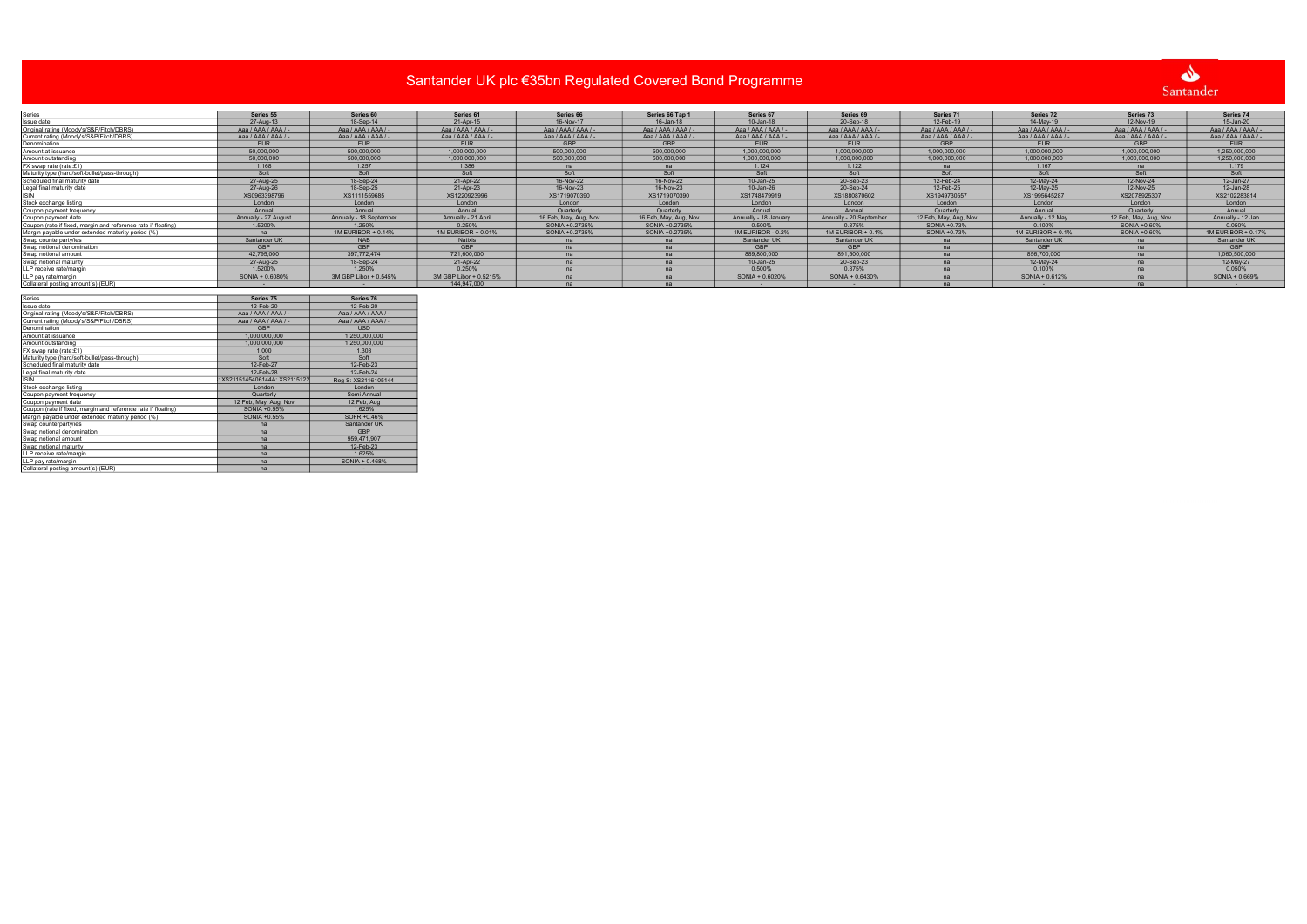| Series                                                        | Series 55            | Series 60               | Series <sub>61</sub>   | Series 66             | Series 66 Tap 1       | Series 67             | Series <sub>69</sub>    | Series 71             | Series 72           | Series 73             | Series 74          |
|---------------------------------------------------------------|----------------------|-------------------------|------------------------|-----------------------|-----------------------|-----------------------|-------------------------|-----------------------|---------------------|-----------------------|--------------------|
| Issue date                                                    | 27-Aug-13            | 18-Sep-14               | 21-Apr-15              | 16-Nov-17             | 16-Jan-18             | 10-Jan-18             | 20-Sep-18               | 12-Feb-19             | 14-May-19           | 12-Nov-19             | 15-Jan-20          |
| Original rating (Moody's/S&P/Fitch/DBRS)                      | Aaa / AAA / AAA / -  | Aaa / AAA / AAA / -     | Aaa / AAA / AAA / ·    | Aaa / AAA / AAA / -   | Aaa / AAA / AAA / -   | Aaa / AAA / AAA / -   | Aaa / AAA / AAA / -     | Aaa / AAA / AAA / -   | Aaa / AAA / AAA / - | Aaa / AAA / AAA / -   | Aaa / AAA / AAA /  |
| Current rating (Moody's/S&P/Fitch/DBRS)                       | Aaa / AAA / AAA / -  | Aaa / AAA / AAA / -     | Aaa / AAA / AAA / -    | Aaa / AAA / AAA / -   | Aaa / AAA / AAA / -   | Aaa / AAA / AAA / -   | Aaa / AAA / AAA / -     | Aaa / AAA / AAA / -   | Aaa / AAA / AAA / - | Aaa / AAA / AAA / -   | Aaa / AAA / AAA /  |
| Denomination                                                  | <b>EUR</b>           | <b>EUR</b>              | <b>EUR</b>             | GRP                   | <b>GRP</b>            |                       | <b>FIIR</b>             | GF                    | <b>EUR</b>          | GRP                   | FUR.               |
| Amount at issuance                                            | 50,000,000           | 500,000,000             | 1,000,000,000          | 500,000,000           | 500,000,000           | 1,000,000,000         | 1,000,000,000           | 1,000,000,000         | 1,000,000,000       | 1,000,000,000         | 1,250,000,000      |
| Amount outstanding                                            | 50,000,000           | 500,000,000             | 1,000,000,000          | 500,000,000           | 500,000,000           | 1,000,000,000         | 1,000,000,000           | 1,000,000,000         | 1,000,000,000       | 1,000,000,000         | 1,250,000,000      |
| X swap rate (rate:£1)                                         | 1.168                | 1.257                   | 1.386                  |                       |                       | 1.124                 | 1.122                   |                       | 1.167               |                       | 1.179              |
| Maturity type (hard/soft-bullet/pass-through)                 | Soft                 | Soft                    | Soft                   | Soft                  | Soft                  | Soft                  | Soft                    | Soft                  | Soft                | Soft                  | Soft               |
| Scheduled final maturity date                                 | 27-Aug-25            | 18-Sep-24               | 21-Apr-22              | 16-Nov-22             | 16-Nov-22             | 10-Jan-25             | 20-Sep-23               | 12-Feb-24             | 12-May-24           | 12-Nov-24             | 12-Jan-27          |
| Legal final maturity date                                     | 27-Aug-26            | 18-Sep-25               | 21-Apr-23              | 16-Nov-23             | 16-Nov-23             | 10-Jan-26             | 20-Sep-24               | 12-Feb-25             | 12-May-25           | 12-Nov-25             | 12-Jan-28          |
|                                                               | XS0963398796         | XS1111559685            | XS1220923996           | XS1719070390          | XS1719070390          | XS1748479919          | XS1880870602            | XS1949730557          | XS1995645287        | XS2078925307          | XS2102283814       |
| Stock exchange listing                                        | London               | London                  | London                 | London                | London                | London                | London                  | London                | London              | London                | London             |
| Coupon payment frequency                                      | Annual               | Annual                  | Annual                 | Quarterly             | Quarterly             | Annual                | Annual                  | Quarterly             | Annual              | Quarterly             | Annual             |
| Coupon payment date                                           | Annually - 27 August | Annually - 18 September | Annually - 21 April    | 16 Feb, May, Aug, Nov | 16 Feb, May, Aug, Nov | Annually - 18 January | Annually - 20 September | 12 Feb, May, Aug, Nov | Annually - 12 May   | 12 Feb, May, Aug, Nov | Annually - 12 Jan  |
| Coupon (rate if fixed, margin and reference rate if floating) | 1.5200%              | 1.250%                  | 0.250%                 | SONIA +0.2735%        | SONIA +0.2735%        | 0.500%                | 0.375%                  | SONIA +0.73%          | 0.100%              | SONIA +0.60%          | 0.050%             |
| (Margin payable under extended maturity period (%)            |                      | 1M EURIBOR + 0.14%      | 1M EURIBOR + 0.01%     | SONIA +0.2735%        | SONIA +0.2735%        | 1M EURIBOR - 0.2%     | 1M EURIBOR + 0.1%       | SONIA +0.73%          | 1M EURIBOR + 0.1%   | SONIA +0.60%          | 1M EURIBOR + 0.17% |
| Swap counterparty/ies                                         | Santander UK         | <b>NAB</b>              | <b>Natixis</b>         |                       | na                    | Santander UK          | Santander UK            | na                    | Santander UK        | na                    | Santander UK       |
| Swap notional denomination                                    | <b>GBP</b>           | <b>GBP</b>              | GBP                    | na                    | na                    | GRP                   | GRP                     | na                    | GBP                 | na                    | <b>GBP</b>         |
| Swap notional amount                                          | 42,795,000           | 397,772,474             | 721,600,000            | na                    | na                    | 889,800,000           | 891,500,000             | na                    | 856,700,000         | na                    | 1,060,500,000      |
| Swap notional maturity                                        | 27-Aug-25            | 18-Sep-24               | 21-Apr-22              | na                    | na                    | 10-Jan-25             | 20-Sep-23               | na                    | 12-May-24           | na                    | 12-May-27          |
| LLP receive rate/margin                                       | 1.5200%              | 1.250%                  | 0.250%                 | na                    | na                    | 0.500%                | 0.375%                  | na                    | 0.100%              | na                    | 0.050%             |
| LLP pay rate/margin                                           | SONIA + 0.6080%      | 3M GBP Libor + 0.545%   | 3M GBP Libor + 0.5215% | na                    | na                    | SONIA + 0.6020%       | SONIA + 0.6430%         | na                    | SONIA + 0.612%      | na                    | SONIA + 0.669%     |
| Collateral posting amount(s) (EUR)                            |                      |                         | 144,947,000            | na                    | n <sub>2</sub>        |                       |                         | na                    |                     | na                    |                    |

| <b>Series</b>                                                 | Series 75                   | Series 76           |
|---------------------------------------------------------------|-----------------------------|---------------------|
| Issue date                                                    | 12-Feb-20                   | 12-Feb-20           |
| Original rating (Moody's/S&P/Fitch/DBRS)                      | Aaa / AAA / AAA / -         | Aaa / AAA / AAA / - |
| Current rating (Moody's/S&P/Fitch/DBRS)                       | Aaa / AAA / AAA / -         | Aaa / AAA / AAA / - |
| Denomination                                                  | <b>GBP</b>                  | <b>USD</b>          |
| Amount at issuance                                            | 1,000,000,000               | 1.250.000.000       |
| Amount outstanding                                            | 1.000.000.000               | 1.250.000.000       |
| FX swap rate (rate:£1)                                        | 1.000                       | 1.303               |
| Maturity type (hard/soft-bullet/pass-through)                 | Soft                        | Soft                |
| Scheduled final maturity date                                 | 12-Feb-27                   | 12-Feb-23           |
| Legal final maturity date                                     | 12-Feb-28                   | 12-Feb-24           |
| <b>ISIN</b>                                                   | XS2115145406144A: XS2115122 | Reg S: XS2116105144 |
| Stock exchange listing                                        | London                      | London              |
| Coupon payment frequency                                      | Quarterly                   | Semi Annual         |
| Coupon payment date                                           | 12 Feb, May, Aug, Nov       | 12 Feb, Aug         |
| Coupon (rate if fixed, margin and reference rate if floating) | SONIA +0.55%                | 1.625%              |
| Margin payable under extended maturity period (%)             | SONIA +0.55%                | SOFR +0.46%         |
| Swap counterparty/ies                                         | na                          | Santander UK        |
| Swap notional denomination                                    | na                          | <b>GBP</b>          |
| Swap notional amount                                          | na                          | 959,471,907         |
| Swap notional maturity                                        | na                          | 12-Feb-23           |
| LLP receive rate/margin                                       | na                          | 1.625%              |
| LLP pay rate/margin                                           | na                          | SONIA + 0.468%      |
| Collateral posting amount(s) (EUR)                            | na                          |                     |

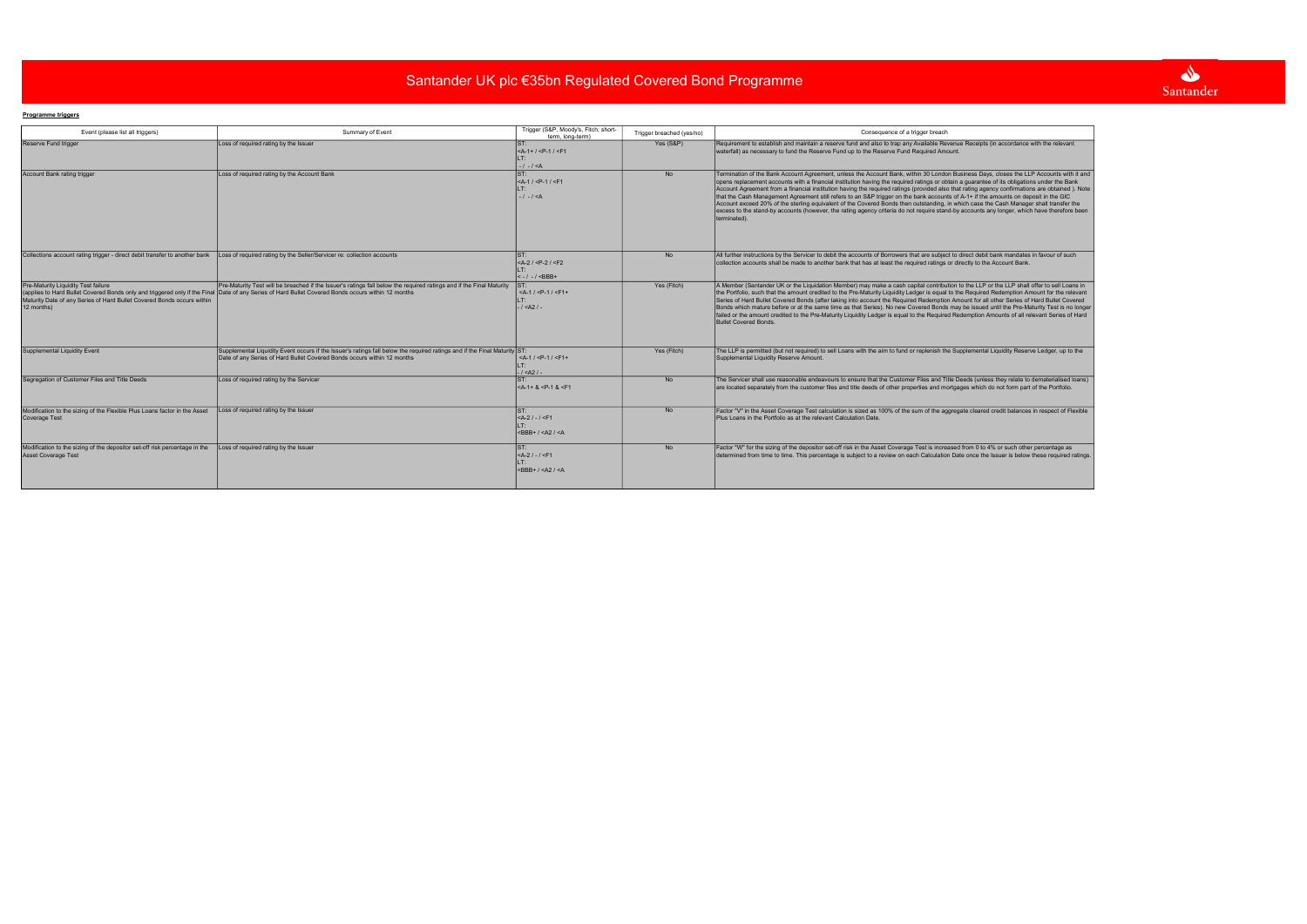### Programme triggers

| Event (please list all triggers)                                                                                                                  | Summary of Event                                                                                                                                                                                                                                                           | Trigger (S&P, Moody's, Fitch; short-<br>term. long-term)                                                                                                                                                                                                                                                                                                                                    | Trigger breached (yes/no) | Consequence of a trigger breach                                                                                                                                                                                                                                                                                                                                                                                                                                                                                                                                                                                                                                                                                                                                                                                                                                                         |
|---------------------------------------------------------------------------------------------------------------------------------------------------|----------------------------------------------------------------------------------------------------------------------------------------------------------------------------------------------------------------------------------------------------------------------------|---------------------------------------------------------------------------------------------------------------------------------------------------------------------------------------------------------------------------------------------------------------------------------------------------------------------------------------------------------------------------------------------|---------------------------|-----------------------------------------------------------------------------------------------------------------------------------------------------------------------------------------------------------------------------------------------------------------------------------------------------------------------------------------------------------------------------------------------------------------------------------------------------------------------------------------------------------------------------------------------------------------------------------------------------------------------------------------------------------------------------------------------------------------------------------------------------------------------------------------------------------------------------------------------------------------------------------------|
| Reserve Fund trigger                                                                                                                              | Loss of required rating by the Issuer                                                                                                                                                                                                                                      | IST:<br>$\left  -1 - 1 < A$                                                                                                                                                                                                                                                                                                                                                                 | Yes (S&P)                 | Requirement to establish and maintain a reserve fund and also to trap any Available Revenue Receipts (in accordance with the relevant<br>waterfall) as necessary to fund the Reserve Fund up to the Reserve Fund Required Amount                                                                                                                                                                                                                                                                                                                                                                                                                                                                                                                                                                                                                                                        |
| Account Bank rating trigger                                                                                                                       | Loss of required rating by the Account Bank                                                                                                                                                                                                                                | Ist:<br>$\leq$ A-1 / $\leq$ P-1 / $\leq$ F1<br>$-1 - 1 < A$                                                                                                                                                                                                                                                                                                                                 | <b>No</b>                 | Termination of the Bank Account Agreement, unless the Account Bank, within 30 London Business Days, closes the LLP Accounts with it and<br>opens replacement accounts with a financial institution having the required ratings or obtain a guarantee of its obligations under the Bank<br>Account Agreement from a financial institution having the required ratings (provided also that rating agency confirmations are obtained). Note<br>that the Cash Management Agreement still refers to an S&P trigger on the bank accounts of A-1+ if the amounts on deposit in the GIC<br>Account exceed 20% of the sterling equivalent of the Covered Bonds then outstanding, in which case the Cash Manager shall transfer the<br>excess to the stand-by accounts (however, the rating agency criteria do not require stand-by accounts any longer, which have therefore been<br>terminated) |
| Collections account rating trigger - direct debit transfer to another bank Loss of required rating by the Seller/Servicer re: collection accounts |                                                                                                                                                                                                                                                                            | IST:<br>$<$ A-2 / <p-2 <f2<br=""><math> &lt; -1 - 1</math> <bbb+< td=""><td><b>No</b></td><td>All further instructions by the Servicer to debit the accounts of Borrowers that are subject to direct debit bank mandates in favour of such<br/>collection accounts shall be made to another bank that has at least the required ratings or directly to the Account Bank.</td></bbb+<></p-2> | <b>No</b>                 | All further instructions by the Servicer to debit the accounts of Borrowers that are subject to direct debit bank mandates in favour of such<br>collection accounts shall be made to another bank that has at least the required ratings or directly to the Account Bank.                                                                                                                                                                                                                                                                                                                                                                                                                                                                                                                                                                                                               |
| Pre-Maturity Liquidity Test failure<br>Maturity Date of any Series of Hard Bullet Covered Bonds occurs within<br>12 months)                       | Pre-Maturity Test will be breached if the Issuer's ratings fall below the required ratings and if the Final Maturity<br>(applies to Hard Bullet Covered Bonds only and triggered only if the Final Date of any Series of Hard Bullet Covered Bonds occurs within 12 months | IST:<br>$<$ A-1 / $<$ P-1 / $<$ F1+<br>LT:<br>$-1 < A21 -$                                                                                                                                                                                                                                                                                                                                  | Yes (Fitch)               | A Member (Santander UK or the Liquidation Member) may make a cash capital contribution to the LLP or the LLP shall offer to sell Loans in<br>the Portfolio, such that the amount credited to the Pre-Maturity Liquidity Ledger is equal to the Required Redemption Amount for the relevant<br>Series of Hard Bullet Covered Bonds (after taking into account the Required Redemption Amount for all other Series of Hard Bullet Covered<br>Bonds which mature before or at the same time as that Series). No new Covered Bonds may be issued until the Pre-Maturity Test is no longer<br>failed or the amount credited to the Pre-Maturity Liquidity Ledger is equal to the Required Redemption Amounts of all relevant Series of Hard<br><b>Bullet Covered Bonds</b>                                                                                                                   |
| Supplemental Liquidity Event                                                                                                                      | Supplemental Liquidity Event occurs if the Issuer's ratings fall below the required ratings and if the Final Maturity ST:<br>Date of any Series of Hard Bullet Covered Bonds occurs within 12 months                                                                       | $<$ A-1 / <p-1 <f1+<br="">LT:<br/><math>-1 &lt; A21 -</math></p-1>                                                                                                                                                                                                                                                                                                                          | Yes (Fitch)               | The LLP is permitted (but not required) to sell Loans with the aim to fund or replenish the Supplemental Liquidity Reserve Ledger, up to the<br>Supplemental Liquidity Reserve Amount.                                                                                                                                                                                                                                                                                                                                                                                                                                                                                                                                                                                                                                                                                                  |
| Segregation of Customer Files and Title Deeds                                                                                                     | Loss of required rating by the Servicer                                                                                                                                                                                                                                    | $A - 1 + 8 < P - 18 < F1$                                                                                                                                                                                                                                                                                                                                                                   | N <sub>o</sub>            | The Servicer shall use reasonable endeavours to ensure that the Customer Files and Title Deeds (unless they relate to dematerialised loans)<br>are located separately from the customer files and title deeds of other properties and mortgages which do not form part of the Portfolio.                                                                                                                                                                                                                                                                                                                                                                                                                                                                                                                                                                                                |
| Modification to the sizing of the Flexible Plus Loans factor in the Asset<br>Coverage Test                                                        | Loss of required rating by the Issuer                                                                                                                                                                                                                                      | IST:<br>$\left  F1<BBB+ / <A2 / <A$                                                                                                                                                                                                                                                                                                                                                         | <b>No</b>                 | Factor "V" in the Asset Coverage Test calculation is sized as 100% of the sum of the aggregate cleared credit balances in respect of Flexible<br>Plus Loans in the Portfolio as at the relevant Calculation Date.                                                                                                                                                                                                                                                                                                                                                                                                                                                                                                                                                                                                                                                                       |
| Modification to the sizing of the depositor set-off risk percentage in the<br><b>Asset Coverage Test</b>                                          | Loss of required rating by the Issuer                                                                                                                                                                                                                                      | IST:<br>$\left  F1<BBB+ / <A2 / <A$                                                                                                                                                                                                                                                                                                                                                         | <b>No</b>                 | Factor "W" for the sizing of the depositor set-off risk in the Asset Coverage Test is increased from 0 to 4% or such other percentage as<br>determined from time to time. This percentage is subject to a review on each Calculation Date once the Issuer is below these required ratings.                                                                                                                                                                                                                                                                                                                                                                                                                                                                                                                                                                                              |

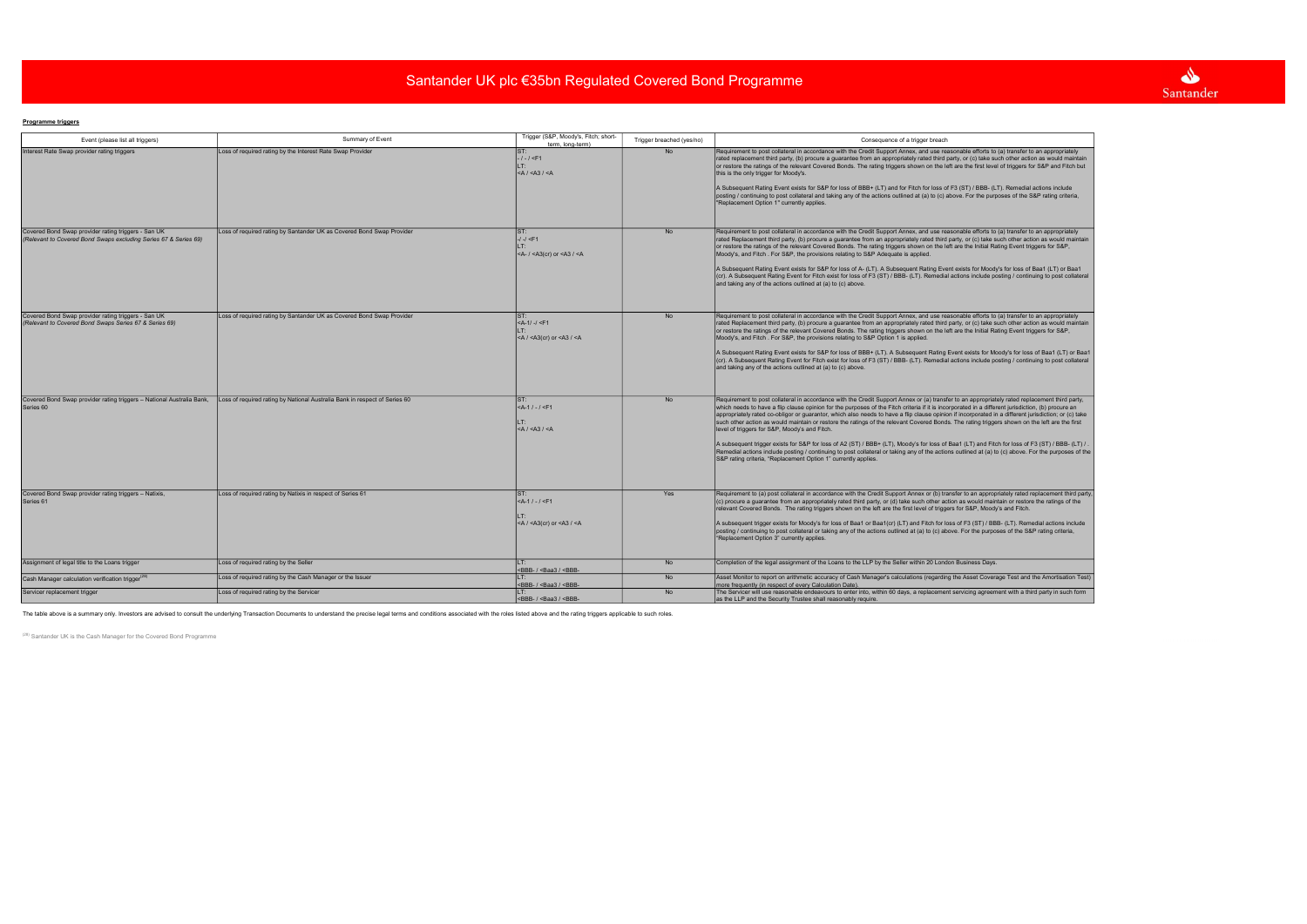### Programme triggers

| Event (please list all triggers)                                                                                        | Summary of Event                                                           | Trigger (S&P, Moody's, Fitch; short-<br>term, long-term)                                                                                                                                                                                                                                                                                                                                                                                                                                                                                                                                                                                                                                                                                                                                                                                                                                                                                                                                                            | Trigger breached (yes/no) | Consequence of a trigger breach                                                                                                                                                                                                                                                                                                                                                                                                                                                                                                                                                                                                                                                                                                                                                                                                                                                                                                                                                                                                          |
|-------------------------------------------------------------------------------------------------------------------------|----------------------------------------------------------------------------|---------------------------------------------------------------------------------------------------------------------------------------------------------------------------------------------------------------------------------------------------------------------------------------------------------------------------------------------------------------------------------------------------------------------------------------------------------------------------------------------------------------------------------------------------------------------------------------------------------------------------------------------------------------------------------------------------------------------------------------------------------------------------------------------------------------------------------------------------------------------------------------------------------------------------------------------------------------------------------------------------------------------|---------------------------|------------------------------------------------------------------------------------------------------------------------------------------------------------------------------------------------------------------------------------------------------------------------------------------------------------------------------------------------------------------------------------------------------------------------------------------------------------------------------------------------------------------------------------------------------------------------------------------------------------------------------------------------------------------------------------------------------------------------------------------------------------------------------------------------------------------------------------------------------------------------------------------------------------------------------------------------------------------------------------------------------------------------------------------|
| Interest Rate Swap provider rating triggers                                                                             | Loss of required rating by the Interest Rate Swap Provider                 | IST:<br>$-1 - 1 < F1$<br>LT:<br>$<$ A / <a3 <a<="" td=""><td><b>No</b></td><td>Requirement to post collateral in accordance with the Credit Support Annex, and use reasonable efforts to (a) transfer to an appropriately<br/>rated replacement third party, (b) procure a guarantee from an appropriately rated third party, or (c) take such other action as would maintain<br/>or restore the ratings of the relevant Covered Bonds. The rating triggers shown on the left are the first level of triggers for S&amp;P and Fitch but<br/>this is the only trigger for Moody's.<br/>A Subsequent Rating Event exists for S&amp;P for loss of BBB+ (LT) and for Fitch for loss of F3 (ST) / BBB- (LT). Remedial actions include<br/>posting / continuing to post collateral and taking any of the actions outlined at (a) to (c) above. For the purposes of the S&amp;P rating criteria,<br/>"Replacement Option 1" currently applies.</td></a3>                                                                   | <b>No</b>                 | Requirement to post collateral in accordance with the Credit Support Annex, and use reasonable efforts to (a) transfer to an appropriately<br>rated replacement third party, (b) procure a guarantee from an appropriately rated third party, or (c) take such other action as would maintain<br>or restore the ratings of the relevant Covered Bonds. The rating triggers shown on the left are the first level of triggers for S&P and Fitch but<br>this is the only trigger for Moody's.<br>A Subsequent Rating Event exists for S&P for loss of BBB+ (LT) and for Fitch for loss of F3 (ST) / BBB- (LT). Remedial actions include<br>posting / continuing to post collateral and taking any of the actions outlined at (a) to (c) above. For the purposes of the S&P rating criteria,<br>"Replacement Option 1" currently applies.                                                                                                                                                                                                   |
| Covered Bond Swap provider rating triggers - San UK<br>(Relevant to Covered Bond Swaps excluding Series 67 & Series 69) | Loss of required rating by Santander UK as Covered Bond Swap Provider      | $-1 - 1 < F1$<br>$<$ A- / $<$ A3(cr) or $<$ A3 / $<$ A                                                                                                                                                                                                                                                                                                                                                                                                                                                                                                                                                                                                                                                                                                                                                                                                                                                                                                                                                              | <b>No</b>                 | Requirement to post collateral in accordance with the Credit Support Annex, and use reasonable efforts to (a) transfer to an appropriately<br>rated Replacement third party, (b) procure a guarantee from an appropriately rated third party, or (c) take such other action as would maintain<br>or restore the ratings of the relevant Covered Bonds. The rating triggers shown on the left are the Initial Rating Event triggers for S&P,<br>Moody's, and Fitch. For S&P, the provisions relating to S&P Adequate is applied.<br>A Subsequent Rating Event exists for S&P for loss of A- (LT). A Subsequent Rating Event exists for Moody's for loss of Baa1 (LT) or Baa1<br>(cr). A Subsequent Rating Event for Fitch exist for loss of F3 (ST) / BBB- (LT). Remedial actions include posting / continuing to post collateral<br>and taking any of the actions outlined at (a) to (c) above.                                                                                                                                          |
| Covered Bond Swap provider rating triggers - San UK<br>(Relevant to Covered Bond Swaps Series 67 & Series 69)           | Loss of required rating by Santander UK as Covered Bond Swap Provider      | $<$ A-1/-/ $<$ F1<br>$<$ A / <a3(cr) <a3="" <a<="" or="" td=""><td>No</td><td>Requirement to post collateral in accordance with the Credit Support Annex, and use reasonable efforts to (a) transfer to an appropriately<br/>rated Replacement third party, (b) procure a guarantee from an appropriately rated third party, or (c) take such other action as would maintain<br/>or restore the ratings of the relevant Covered Bonds. The rating triggers shown on the left are the Initial Rating Event triggers for S&amp;P,<br/>Moody's, and Fitch. For S&amp;P, the provisions relating to S&amp;P Option 1 is applied.<br/>A Subsequent Rating Event exists for S&amp;P for loss of BBB+ (LT). A Subsequent Rating Event exists for Moody's for loss of Baa1 (LT) or Baa1<br/>(cr). A Subsequent Rating Event for Fitch exist for loss of F3 (ST) / BBB- (LT). Remedial actions include posting / continuing to post collateral<br/>and taking any of the actions outlined at (a) to (c) above.</td></a3(cr)> | No                        | Requirement to post collateral in accordance with the Credit Support Annex, and use reasonable efforts to (a) transfer to an appropriately<br>rated Replacement third party, (b) procure a guarantee from an appropriately rated third party, or (c) take such other action as would maintain<br>or restore the ratings of the relevant Covered Bonds. The rating triggers shown on the left are the Initial Rating Event triggers for S&P,<br>Moody's, and Fitch. For S&P, the provisions relating to S&P Option 1 is applied.<br>A Subsequent Rating Event exists for S&P for loss of BBB+ (LT). A Subsequent Rating Event exists for Moody's for loss of Baa1 (LT) or Baa1<br>(cr). A Subsequent Rating Event for Fitch exist for loss of F3 (ST) / BBB- (LT). Remedial actions include posting / continuing to post collateral<br>and taking any of the actions outlined at (a) to (c) above.                                                                                                                                        |
| Covered Bond Swap provider rating triggers - National Australia Bank,<br>Series 60                                      | Loss of required rating by National Australia Bank in respect of Series 60 | ST:<br>$<$ A-1 / - / <f1<br><math>&lt;</math>A / <math>&lt;</math>A3 / <math>&lt;</math>A</f1<br>                                                                                                                                                                                                                                                                                                                                                                                                                                                                                                                                                                                                                                                                                                                                                                                                                                                                                                                   | No                        | Requirement to post collateral in accordance with the Credit Support Annex or (a) transfer to an appropriately rated replacement third party,<br>which needs to have a flip clause opinion for the purposes of the Fitch criteria if it is incorporated in a different jurisdiction, (b) procure an<br>appropriately rated co-obligor or guarantor, which also needs to have a flip clause opinion if incorporated in a different jurisdiction; or (c) take<br>such other action as would maintain or restore the ratings of the relevant Covered Bonds. The rating triggers shown on the left are the first<br>level of triggers for S&P, Moody's and Fitch.<br>A subsequent trigger exists for S&P for loss of A2 (ST) / BBB+ (LT), Moody's for loss of Baa1 (LT) and Fitch for loss of F3 (ST) / BBB- (LT) /<br>Remedial actions include posting / continuing to post collateral or taking any of the actions outlined at (a) to (c) above. For the purposes of the<br>S&P rating criteria, "Replacement Option 1" currently applies. |
| Covered Bond Swap provider rating triggers - Natixis,<br>Series <sub>61</sub>                                           | Loss of required rating by Natixis in respect of Series 61                 | $<$ A-1 / - / <f1<br><math>&lt;</math>A / <a3(cr) <a3="" <a<="" or="" td=""><td>Yes</td><td>Requirement to (a) post collateral in accordance with the Credit Support Annex or (b) transfer to an appropriately rated replacement third party,<br/>(c) procure a guarantee from an appropriately rated third party, or (d) take such other action as would maintain or restore the ratings of the<br/>relevant Covered Bonds. The rating triggers shown on the left are the first level of triggers for S&amp;P, Moody's and Fitch.<br/>A subsequent trigger exists for Moody's for loss of Baa1 or Baa1(cr) (LT) and Fitch for loss of F3 (ST) / BBB- (LT). Remedial actions include<br/>posting / continuing to post collateral or taking any of the actions outlined at (a) to (c) above. For the purposes of the S&amp;P rating criteria,<br/>"Replacement Option 3" currently applies.</td></a3(cr)></f1<br>                                                                                                    | Yes                       | Requirement to (a) post collateral in accordance with the Credit Support Annex or (b) transfer to an appropriately rated replacement third party,<br>(c) procure a guarantee from an appropriately rated third party, or (d) take such other action as would maintain or restore the ratings of the<br>relevant Covered Bonds. The rating triggers shown on the left are the first level of triggers for S&P, Moody's and Fitch.<br>A subsequent trigger exists for Moody's for loss of Baa1 or Baa1(cr) (LT) and Fitch for loss of F3 (ST) / BBB- (LT). Remedial actions include<br>posting / continuing to post collateral or taking any of the actions outlined at (a) to (c) above. For the purposes of the S&P rating criteria,<br>"Replacement Option 3" currently applies.                                                                                                                                                                                                                                                        |
| Assignment of legal title to the Loans trigger                                                                          | Loss of required rating by the Seller                                      | <bbb- <baa3="" <bbb-<="" td=""><td><b>No</b></td><td>Completion of the legal assignment of the Loans to the LLP by the Seller within 20 London Business Days.</td></bbb->                                                                                                                                                                                                                                                                                                                                                                                                                                                                                                                                                                                                                                                                                                                                                                                                                                           | <b>No</b>                 | Completion of the legal assignment of the Loans to the LLP by the Seller within 20 London Business Days.                                                                                                                                                                                                                                                                                                                                                                                                                                                                                                                                                                                                                                                                                                                                                                                                                                                                                                                                 |
| Cash Manager calculation verification trigger <sup>(28)</sup>                                                           | Loss of required rating by the Cash Manager or the Issuer                  | <bbb- <baa3="" <bbb-<="" td=""><td>No</td><td>Asset Monitor to report on arithmetic accuracy of Cash Manager's calculations (regarding the Asset Coverage Test and the Amortisation Test)<br/>more frequently (in respect of every Calculation Date).</td></bbb->                                                                                                                                                                                                                                                                                                                                                                                                                                                                                                                                                                                                                                                                                                                                                   | No                        | Asset Monitor to report on arithmetic accuracy of Cash Manager's calculations (regarding the Asset Coverage Test and the Amortisation Test)<br>more frequently (in respect of every Calculation Date).                                                                                                                                                                                                                                                                                                                                                                                                                                                                                                                                                                                                                                                                                                                                                                                                                                   |
| Servicer replacement trigger                                                                                            | Loss of required rating by the Servicer                                    | <bbb- <baa3="" <bbb-<="" td=""><td><b>No</b></td><td>The Servicer will use reasonable endeavours to enter into, within 60 days, a replacement servicing agreement with a third party in such form<br/>as the LLP and the Security Trustee shall reasonably require.</td></bbb->                                                                                                                                                                                                                                                                                                                                                                                                                                                                                                                                                                                                                                                                                                                                     | <b>No</b>                 | The Servicer will use reasonable endeavours to enter into, within 60 days, a replacement servicing agreement with a third party in such form<br>as the LLP and the Security Trustee shall reasonably require.                                                                                                                                                                                                                                                                                                                                                                                                                                                                                                                                                                                                                                                                                                                                                                                                                            |

The table above is a summary only. Investors are advised to consult the underlying Transaction Documents to understand the precise legal terms and conditions associated with the roles listed above and the rating triggers a

 $^{(28)}$  Santander UK is the Cash Manager for the Covered Bond Programme